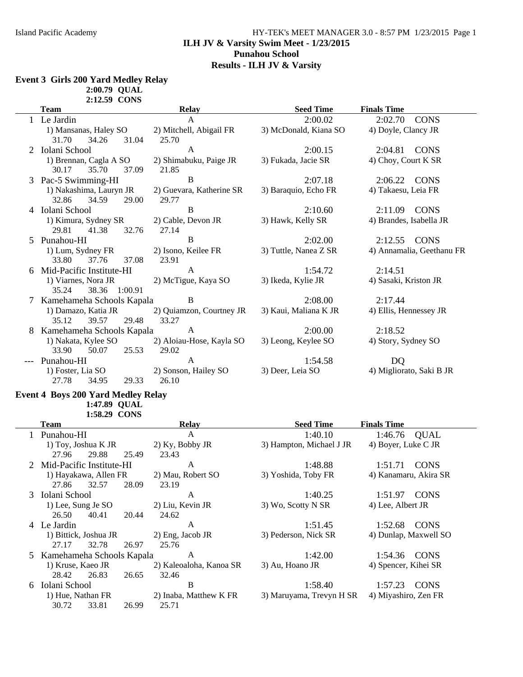### Island Pacific Academy HY-TEK's MEET MANAGER 3.0 - 8:57 PM 1/23/2015 Page 1 **ILH JV & Varsity Swim Meet - 1/23/2015 Punahou School Results - ILH JV & Varsity**

## **Event 3 Girls 200 Yard Medley Relay**

**2:00.79 QUAL**

|    | 2:12.59 CONS                                   |                          |                       |                           |
|----|------------------------------------------------|--------------------------|-----------------------|---------------------------|
|    | Team                                           | <b>Relay</b>             | <b>Seed Time</b>      | <b>Finals Time</b>        |
|    | 1 Le Jardin                                    | $\mathsf{A}$             | 2:00.02               | 2:02.70 CONS              |
|    | 1) Mansanas, Haley SO                          | 2) Mitchell, Abigail FR  | 3) McDonald, Kiana SO | 4) Doyle, Clancy JR       |
|    | 31.70<br>34.26<br>31.04                        | 25.70                    |                       |                           |
|    | Iolani School                                  | A                        | 2:00.15               | 2:04.81 CONS              |
|    | 1) Brennan, Cagla A SO                         | 2) Shimabuku, Paige JR   | 3) Fukada, Jacie SR   | 4) Choy, Court K SR       |
|    | 30.17<br>35.70<br>37.09                        | 21.85                    |                       |                           |
|    | 3 Pac-5 Swimming-HI                            | B                        | 2:07.18               | 2:06.22 CONS              |
|    | 1) Nakashima, Lauryn JR                        | 2) Guevara, Katherine SR | 3) Baraquio, Echo FR  | 4) Takaesu, Leia FR       |
|    | 32.86<br>34.59<br>29.00                        | 29.77                    |                       |                           |
|    | Iolani School                                  | B                        | 2:10.60               | 2:11.09 CONS              |
|    | 1) Kimura, Sydney SR                           | 2) Cable, Devon JR       | 3) Hawk, Kelly SR     | 4) Brandes, Isabella JR   |
|    | 29.81<br>41.38<br>32.76                        | 27.14                    |                       |                           |
| 5. | Punahou-HI                                     | B                        | 2:02.00               | 2:12.55 CONS              |
|    | 1) Lum, Sydney FR                              | 2) Isono, Keilee FR      | 3) Tuttle, Nanea Z SR | 4) Annamalia, Geethanu FR |
|    | 33.80<br>37.76<br>37.08                        | 23.91                    |                       |                           |
|    | Mid-Pacific Institute-HI                       | A                        | 1:54.72               | 2:14.51                   |
|    | 1) Viarnes, Nora JR                            | 2) McTigue, Kaya SO      | 3) Ikeda, Kylie JR    | 4) Sasaki, Kriston JR     |
|    | 35.24<br>38.36 1:00.91                         |                          |                       |                           |
|    | 7 Kamehameha Schools Kapala                    | B                        | 2:08.00               | 2:17.44                   |
|    | 1) Damazo, Katia JR                            | 2) Quiamzon, Courtney JR | 3) Kaui, Maliana K JR | 4) Ellis, Hennessey JR    |
|    | 35.12<br>39.57<br>29.48                        | 33.27                    |                       |                           |
|    | Kamehameha Schools Kapala                      | $\mathbf{A}$             | 2:00.00               | 2:18.52                   |
|    | 1) Nakata, Kylee SO                            | 2) Aloiau-Hose, Kayla SO | 3) Leong, Keylee SO   | 4) Story, Sydney SO       |
|    | 33.90<br>50.07<br>25.53                        | 29.02                    |                       |                           |
|    | Punahou-HI                                     | $\mathbf{A}$             | 1:54.58               | DQ                        |
|    | 1) Foster, Lia SO                              | 2) Sonson, Hailey SO     | 3) Deer, Leia SO      | 4) Migliorato, Saki B JR  |
|    | 27.78<br>34.95<br>29.33                        | 26.10                    |                       |                           |
|    | $\left(1.4, \mathbf{D}\right) = 200 \text{ V}$ |                          |                       |                           |

#### **Event 4 Boys 200 Yard Medley Relay 1:47.89 QUAL 1:58.29 CONS**

|   | Team                        |       | <b>Relay</b>            | <b>Seed Time</b>         | <b>Finals Time</b>     |
|---|-----------------------------|-------|-------------------------|--------------------------|------------------------|
|   | Punahou-HI                  |       | A                       | 1:40.10                  | 1:46.76 QUAL           |
|   | 1) Toy, Joshua K JR         |       | 2) Ky, Bobby JR         | 3) Hampton, Michael J JR | 4) Boyer, Luke C JR    |
|   | 29.88<br>27.96              | 25.49 | 23.43                   |                          |                        |
|   | 2 Mid-Pacific Institute-HI  |       | A                       | 1:48.88                  | <b>CONS</b><br>1:51.71 |
|   | 1) Hayakawa, Allen FR       |       | 2) Mau, Robert SO       | 3) Yoshida, Toby FR      | 4) Kanamaru, Akira SR  |
|   | 32.57<br>27.86              | 28.09 | 23.19                   |                          |                        |
|   | 3 Iolani School             |       | A                       | 1:40.25                  | <b>CONS</b><br>1:51.97 |
|   | 1) Lee, Sung Je SO          |       | 2) Liu, Kevin JR        | 3) Wo, Scotty N SR       | 4) Lee, Albert JR      |
|   | 40.41<br>26.50              | 20.44 | 24.62                   |                          |                        |
|   | 4 Le Jardin                 |       | A                       | 1:51.45                  | 1:52.68 CONS           |
|   | 1) Bittick, Joshua JR       |       | 2) Eng, Jacob JR        | 3) Pederson, Nick SR     | 4) Dunlap, Maxwell SO  |
|   | 27.17<br>32.78              | 26.97 | 25.76                   |                          |                        |
|   | 5 Kamehameha Schools Kapala |       | A                       | 1:42.00                  | <b>CONS</b><br>1:54.36 |
|   | 1) Kruse, Kaeo JR           |       | 2) Kaleoaloha, Kanoa SR | 3) Au, Hoano JR          | 4) Spencer, Kihei SR   |
|   | 28.42<br>26.83              | 26.65 | 32.46                   |                          |                        |
| 6 | Iolani School               |       | B                       | 1:58.40                  | <b>CONS</b><br>1:57.23 |
|   | 1) Hue, Nathan FR           |       | 2) Inaba, Matthew K FR  | 3) Maruyama, Trevyn H SR | 4) Miyashiro, Zen FR   |
|   | 30.72<br>33.81              | 26.99 | 25.71                   |                          |                        |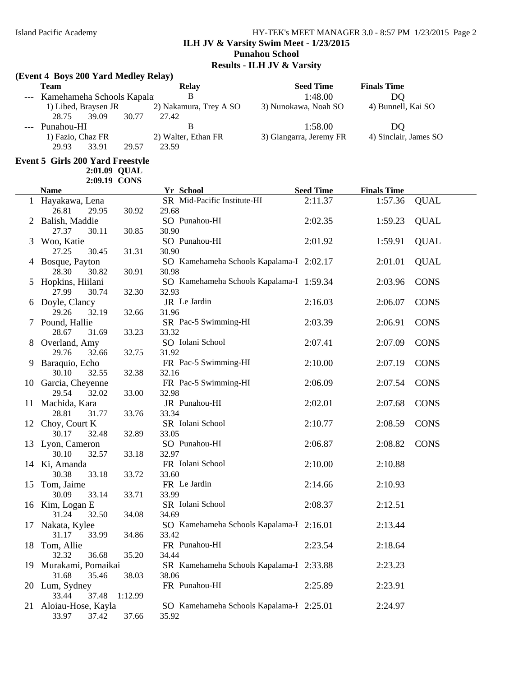### Island Pacific Academy HY-TEK's MEET MANAGER 3.0 - 8:57 PM 1/23/2015 Page 2 **ILH JV & Varsity Swim Meet - 1/23/2015 Punahou School Results - ILH JV & Varsity**

#### **(Event 4 Boys 200 Yard Medley Relay)**

| <b>Team</b>                   |       |       | <b>Relay</b>           | <b>Seed Time</b>        | <b>Finals Time</b>    |  |
|-------------------------------|-------|-------|------------------------|-------------------------|-----------------------|--|
| --- Kamehameha Schools Kapala |       |       | В                      | 1:48.00                 | DO                    |  |
| 1) Libed, Braysen JR          |       |       | 2) Nakamura, Trey A SO | 3) Nunokawa, Noah SO    | 4) Bunnell, Kai SO    |  |
| 28.75                         | 39.09 | 30.77 | 27.42                  |                         |                       |  |
| Punahou-HI                    |       |       | В                      | 1:58.00                 | DO                    |  |
| 1) Fazio, Chaz FR             |       |       | 2) Walter, Ethan FR    | 3) Giangarra, Jeremy FR | 4) Sinclair, James SO |  |
| 29.93                         | 33.91 | 29.57 | 23.59                  |                         |                       |  |

#### **Event 5 Girls 200 Yard Freestyle 2:01.09 QUAL**

|    | 2:09.19 CONS          |         |                                          |                  |                    |             |
|----|-----------------------|---------|------------------------------------------|------------------|--------------------|-------------|
|    | <b>Name</b>           |         | <b>Yr School</b>                         | <b>Seed Time</b> | <b>Finals Time</b> |             |
|    | 1 Hayakawa, Lena      |         | SR Mid-Pacific Institute-HI              | 2:11.37          | 1:57.36            | <b>QUAL</b> |
|    | 26.81<br>29.95        | 30.92   | 29.68                                    |                  |                    |             |
|    | 2 Balish, Maddie      |         | SO Punahou-HI                            | 2:02.35          | 1:59.23            | <b>QUAL</b> |
|    | 27.37<br>30.11        | 30.85   | 30.90                                    |                  |                    |             |
| 3  | Woo, Katie            |         | SO Punahou-HI                            | 2:01.92          | 1:59.91            | <b>QUAL</b> |
|    | 27.25<br>30.45        | 31.31   | 30.90                                    |                  |                    |             |
|    | 4 Bosque, Payton      |         | SO Kamehameha Schools Kapalama-I 2:02.17 |                  | 2:01.01            | <b>QUAL</b> |
|    | 30.82<br>28.30        | 30.91   | 30.98                                    |                  |                    |             |
|    | 5 Hopkins, Hiilani    |         | SO Kamehameha Schools Kapalama-I 1:59.34 |                  | 2:03.96            | <b>CONS</b> |
|    | 27.99<br>30.74        | 32.30   | 32.93                                    |                  |                    |             |
| 6  | Doyle, Clancy         |         | JR Le Jardin                             | 2:16.03          | 2:06.07            | <b>CONS</b> |
|    | 29.26<br>32.19        | 32.66   | 31.96                                    |                  |                    |             |
|    | 7 Pound, Hallie       |         | SR Pac-5 Swimming-HI                     | 2:03.39          | 2:06.91            | <b>CONS</b> |
|    | 28.67<br>31.69        | 33.23   | 33.32                                    |                  |                    |             |
|    | 8 Overland, Amy       |         | SO Iolani School                         | 2:07.41          | 2:07.09            | <b>CONS</b> |
|    | 29.76<br>32.66        | 32.75   | 31.92                                    |                  |                    |             |
| 9  | Baraquio, Echo        |         | FR Pac-5 Swimming-HI                     | 2:10.00          | 2:07.19            | <b>CONS</b> |
|    | 30.10<br>32.55        | 32.38   | 32.16                                    |                  |                    |             |
|    | 10 Garcia, Cheyenne   |         | FR Pac-5 Swimming-HI                     | 2:06.09          | 2:07.54            | <b>CONS</b> |
|    | 32.02<br>29.54        | 33.00   | 32.98                                    |                  |                    |             |
|    | 11 Machida, Kara      |         | JR Punahou-HI                            | 2:02.01          | 2:07.68            | <b>CONS</b> |
|    | 28.81<br>31.77        | 33.76   | 33.34                                    |                  |                    |             |
|    | 12 Choy, Court K      |         | SR Iolani School                         | 2:10.77          | 2:08.59            | <b>CONS</b> |
|    | 30.17<br>32.48        | 32.89   | 33.05                                    |                  |                    |             |
|    | 13 Lyon, Cameron      |         | SO Punahou-HI                            | 2:06.87          | 2:08.82            | <b>CONS</b> |
|    | 30.10<br>32.57        | 33.18   | 32.97                                    |                  |                    |             |
|    | 14 Ki, Amanda         |         | FR Iolani School                         | 2:10.00          | 2:10.88            |             |
|    | 33.18<br>30.38        | 33.72   | 33.60                                    |                  |                    |             |
| 15 | Tom, Jaime            |         | FR Le Jardin                             | 2:14.66          | 2:10.93            |             |
|    | 30.09<br>33.14        | 33.71   | 33.99                                    |                  |                    |             |
|    | 16 Kim, Logan E       |         | SR Iolani School                         | 2:08.37          | 2:12.51            |             |
|    | 31.24<br>32.50        | 34.08   | 34.69                                    |                  |                    |             |
|    | 17 Nakata, Kylee      |         | SO Kamehameha Schools Kapalama-I 2:16.01 |                  | 2:13.44            |             |
|    | 33.99<br>31.17        | 34.86   | 33.42                                    |                  |                    |             |
| 18 | Tom, Allie            |         | FR Punahou-HI                            | 2:23.54          | 2:18.64            |             |
|    | 32.32<br>36.68        | 35.20   | 34.44                                    |                  |                    |             |
|    | 19 Murakami, Pomaikai |         | SR Kamehameha Schools Kapalama-I 2:33.88 |                  | 2:23.23            |             |
|    | 31.68<br>35.46        | 38.03   | 38.06                                    |                  |                    |             |
|    | 20 Lum, Sydney        |         | FR Punahou-HI                            | 2:25.89          | 2:23.91            |             |
|    | 33.44<br>37.48        | 1:12.99 |                                          |                  |                    |             |
| 21 | Aloiau-Hose, Kayla    |         | SO Kamehameha Schools Kapalama-I 2:25.01 |                  | 2:24.97            |             |
|    | 37.42<br>33.97        | 37.66   | 35.92                                    |                  |                    |             |
|    |                       |         |                                          |                  |                    |             |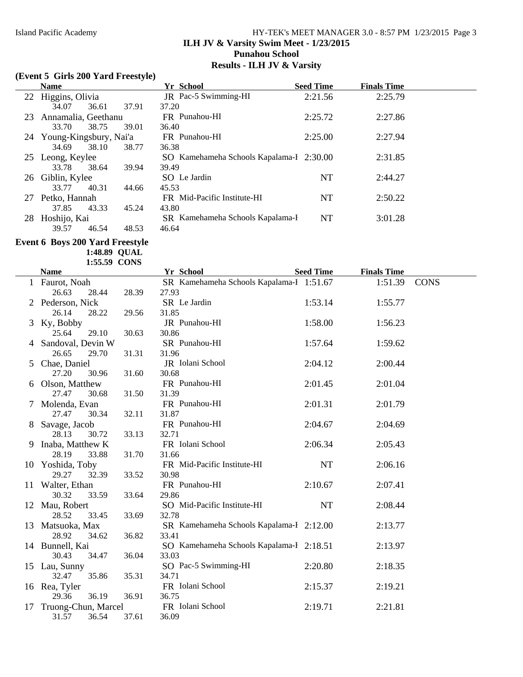### Island Pacific Academy HY-TEK's MEET MANAGER 3.0 - 8:57 PM 1/23/2015 Page 3 **ILH JV & Varsity Swim Meet - 1/23/2015 Punahou School Results - ILH JV & Varsity**

#### **(Event 5 Girls 200 Yard Freestyle)**

|    | <b>Name</b>            |       |       | Yr School                                | <b>Seed Time</b> | <b>Finals Time</b> |  |
|----|------------------------|-------|-------|------------------------------------------|------------------|--------------------|--|
|    | 22 Higgins, Olivia     |       |       | JR Pac-5 Swimming-HI                     | 2:21.56          | 2:25.79            |  |
|    | 34.07                  | 36.61 | 37.91 | 37.20                                    |                  |                    |  |
| 23 | Annamalia, Geethanu    |       |       | FR Punahou-HI                            | 2:25.72          | 2:27.86            |  |
|    | 33.70                  | 38.75 | 39.01 | 36.40                                    |                  |                    |  |
| 24 | Young-Kingsbury, Nai'a |       |       | FR Punahou-HI                            | 2:25.00          | 2:27.94            |  |
|    | 34.69                  | 38.10 | 38.77 | 36.38                                    |                  |                    |  |
| 25 | Leong, Keylee          |       |       | SO Kamehameha Schools Kapalama-I 2:30.00 |                  | 2:31.85            |  |
|    | 33.78                  | 38.64 | 39.94 | 39.49                                    |                  |                    |  |
|    | 26 Giblin, Kylee       |       |       | SO Le Jardin                             | NT               | 2:44.27            |  |
|    | 33.77                  | 40.31 | 44.66 | 45.53                                    |                  |                    |  |
| 27 | Petko, Hannah          |       |       | FR Mid-Pacific Institute-HI              | NT               | 2:50.22            |  |
|    | 37.85                  | 43.33 | 45.24 | 43.80                                    |                  |                    |  |
| 28 | Hoshijo, Kai           |       |       | SR Kamehameha Schools Kapalama-I         | NT               | 3:01.28            |  |
|    | 39.57                  | 46.54 | 48.53 | 46.64                                    |                  |                    |  |

#### **Event 6 Boys 200 Yard Freestyle 1:48.89 QUAL 1:55.59 CONS**

| <b>Name</b>      |       |              | Yr School         |  |
|------------------|-------|--------------|-------------------|--|
| 1 Faurot, Noah   |       |              | SR Kamehameha Sch |  |
| 26.63 28.44      |       | 28.39        | 27.93             |  |
| 2 Pederson, Nick |       | SR Le Jardin |                   |  |
| 26.14            | 28.22 | 29.56        | 31.85             |  |
| $2 \times 1$     |       |              |                   |  |

|    | <b>Name</b>         |       | Yr School                                | <b>Seed Time</b> | <b>Finals Time</b> |             |
|----|---------------------|-------|------------------------------------------|------------------|--------------------|-------------|
|    | 1 Faurot, Noah      |       | SR Kamehameha Schools Kapalama-I 1:51.67 |                  | 1:51.39            | <b>CONS</b> |
|    | 26.63<br>28.44      | 28.39 | 27.93                                    |                  |                    |             |
|    | 2 Pederson, Nick    |       | SR Le Jardin                             | 1:53.14          | 1:55.77            |             |
|    | 26.14<br>28.22      | 29.56 | 31.85                                    |                  |                    |             |
|    | Ky, Bobby           |       | JR Punahou-HI                            | 1:58.00          | 1:56.23            |             |
|    | 25.64<br>29.10      | 30.63 | 30.86                                    |                  |                    |             |
|    | Sandoval, Devin W   |       | SR Punahou-HI                            | 1:57.64          | 1:59.62            |             |
|    | 26.65<br>29.70      | 31.31 | 31.96                                    |                  |                    |             |
|    | 5 Chae, Daniel      |       | JR Iolani School                         | 2:04.12          | 2:00.44            |             |
|    | 27.20<br>30.96      | 31.60 | 30.68                                    |                  |                    |             |
|    | 6 Olson, Matthew    |       | FR Punahou-HI                            | 2:01.45          | 2:01.04            |             |
|    | 27.47<br>30.68      | 31.50 | 31.39                                    |                  |                    |             |
|    | Molenda, Evan       |       | FR Punahou-HI                            | 2:01.31          | 2:01.79            |             |
|    | 27.47<br>30.34      | 32.11 | 31.87                                    |                  |                    |             |
| 8  | Savage, Jacob       |       | FR Punahou-HI                            | 2:04.67          | 2:04.69            |             |
|    | 28.13<br>30.72      | 33.13 | 32.71                                    |                  |                    |             |
| 9  | Inaba, Matthew K    |       | FR Iolani School                         | 2:06.34          | 2:05.43            |             |
|    | 28.19<br>33.88      | 31.70 | 31.66                                    |                  |                    |             |
|    | 10 Yoshida, Toby    |       | FR Mid-Pacific Institute-HI              | <b>NT</b>        | 2:06.16            |             |
|    | 32.39<br>29.27      | 33.52 | 30.98                                    |                  |                    |             |
|    | 11 Walter, Ethan    |       | FR Punahou-HI                            | 2:10.67          | 2:07.41            |             |
|    | 30.32<br>33.59      | 33.64 | 29.86                                    |                  |                    |             |
|    | 12 Mau, Robert      |       | SO Mid-Pacific Institute-HI              | <b>NT</b>        | 2:08.44            |             |
|    | 28.52<br>33.45      | 33.69 | 32.78                                    |                  |                    |             |
|    | 13 Matsuoka, Max    |       | SR Kamehameha Schools Kapalama-I 2:12.00 |                  | 2:13.77            |             |
|    | 28.92<br>34.62      | 36.82 | 33.41                                    |                  |                    |             |
|    | 14 Bunnell, Kai     |       | SO Kamehameha Schools Kapalama-I 2:18.51 |                  | 2:13.97            |             |
|    | 30.43<br>34.47      | 36.04 | 33.03                                    |                  |                    |             |
|    | 15 Lau, Sunny       |       | SO Pac-5 Swimming-HI                     | 2:20.80          | 2:18.35            |             |
|    | 35.86<br>32.47      | 35.31 | 34.71                                    |                  |                    |             |
|    | 16 Rea, Tyler       |       | FR Iolani School                         | 2:15.37          | 2:19.21            |             |
|    | 36.19<br>29.36      | 36.91 | 36.75                                    |                  |                    |             |
| 17 | Truong-Chun, Marcel |       | FR Iolani School                         | 2:19.71          | 2:21.81            |             |
|    | 31.57<br>36.54      | 37.61 | 36.09                                    |                  |                    |             |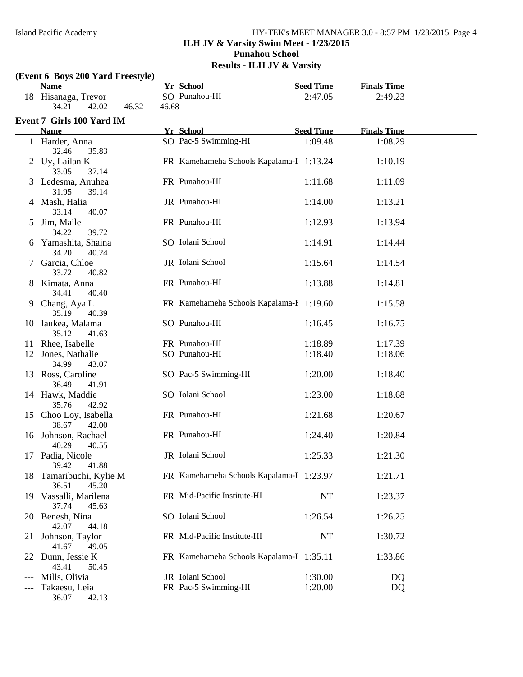## Island Pacific Academy HY-TEK's MEET MANAGER 3.0 - 8:57 PM 1/23/2015 Page 4 **ILH JV & Varsity Swim Meet - 1/23/2015 Punahou School Results - ILH JV & Varsity**

# **(Event 6 Boys 200 Yard Freestyle)**

|              | <b>Name</b>                             |                | Yr School                                | <b>Seed Time</b> | <b>Finals Time</b> |  |
|--------------|-----------------------------------------|----------------|------------------------------------------|------------------|--------------------|--|
|              | 18 Hisanaga, Trevor<br>42.02<br>34.21   | 46.68<br>46.32 | SO Punahou-HI                            | 2:47.05          | 2:49.23            |  |
|              | Event 7 Girls 100 Yard IM               |                |                                          |                  |                    |  |
|              | <b>Name</b>                             |                | Yr School                                | <b>Seed Time</b> | <b>Finals Time</b> |  |
|              | 1 Harder, Anna<br>32.46<br>35.83        |                | SO Pac-5 Swimming-HI                     | 1:09.48          | 1:08.29            |  |
|              | 2 Uy, Lailan K<br>33.05<br>37.14        |                | FR Kamehameha Schools Kapalama-I 1:13.24 |                  | 1:10.19            |  |
|              | 3 Ledesma, Anuhea<br>31.95<br>39.14     |                | FR Punahou-HI                            | 1:11.68          | 1:11.09            |  |
|              | 4 Mash, Halia<br>33.14<br>40.07         |                | JR Punahou-HI                            | 1:14.00          | 1:13.21            |  |
| 5            | Jim, Maile<br>34.22<br>39.72            |                | FR Punahou-HI                            | 1:12.93          | 1:13.94            |  |
| <sub>0</sub> | Yamashita, Shaina<br>34.20<br>40.24     |                | SO Iolani School                         | 1:14.91          | 1:14.44            |  |
|              | Garcia, Chloe<br>33.72<br>40.82         |                | JR Iolani School                         | 1:15.64          | 1:14.54            |  |
| 8            | Kimata, Anna<br>34.41<br>40.40          |                | FR Punahou-HI                            | 1:13.88          | 1:14.81            |  |
| 9.           | Chang, Aya L<br>35.19<br>40.39          |                | FR Kamehameha Schools Kapalama-I 1:19.60 |                  | 1:15.58            |  |
|              | 10 Iaukea, Malama<br>35.12<br>41.63     |                | SO Punahou-HI                            | 1:16.45          | 1:16.75            |  |
| 11           | Rhee, Isabelle                          |                | FR Punahou-HI                            | 1:18.89          | 1:17.39            |  |
|              | 12 Jones, Nathalie<br>34.99<br>43.07    |                | SO Punahou-HI                            | 1:18.40          | 1:18.06            |  |
| 13           | Ross, Caroline<br>36.49<br>41.91        |                | SO Pac-5 Swimming-HI                     | 1:20.00          | 1:18.40            |  |
|              | 14 Hawk, Maddie<br>35.76<br>42.92       |                | SO Iolani School                         | 1:23.00          | 1:18.68            |  |
|              | 15 Choo Loy, Isabella<br>38.67<br>42.00 |                | FR Punahou-HI                            | 1:21.68          | 1:20.67            |  |
| 16           | Johnson, Rachael<br>40.29<br>40.55      |                | FR Punahou-HI                            | 1:24.40          | 1:20.84            |  |
| 17           | Padia, Nicole<br>39.42 41.88            |                | JR Iolani School                         | 1:25.33          | 1:21.30            |  |
| 18           | Tamaribuchi, Kylie M<br>36.51<br>45.20  |                | FR Kamehameha Schools Kapalama-I 1:23.97 |                  | 1:21.71            |  |
|              | 19 Vassalli, Marilena<br>37.74<br>45.63 |                | FR Mid-Pacific Institute-HI              | NT               | 1:23.37            |  |
| 20           | Benesh, Nina<br>42.07<br>44.18          |                | SO Iolani School                         | 1:26.54          | 1:26.25            |  |
| 21           | Johnson, Taylor<br>41.67<br>49.05       |                | FR Mid-Pacific Institute-HI              | NT               | 1:30.72            |  |
| 22           | Dunn, Jessie K<br>43.41<br>50.45        |                | FR Kamehameha Schools Kapalama-I 1:35.11 |                  | 1:33.86            |  |
|              | Mills, Olivia                           |                | JR Iolani School                         | 1:30.00          | DQ                 |  |
| ---          | Takaesu, Leia<br>36.07<br>42.13         |                | FR Pac-5 Swimming-HI                     | 1:20.00          | <b>DQ</b>          |  |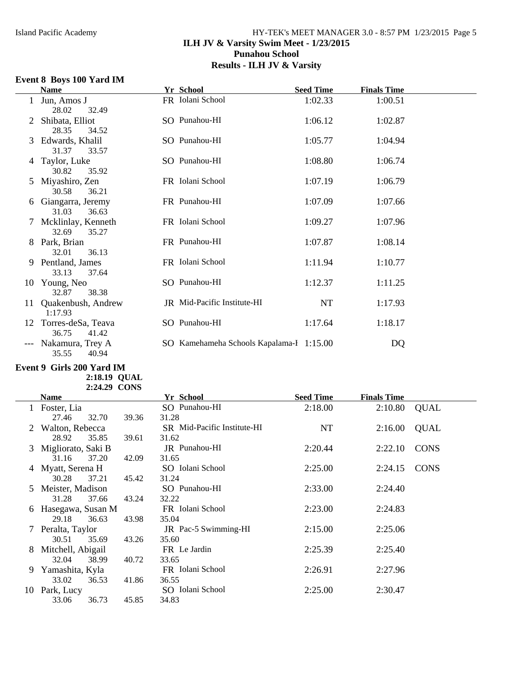# Island Pacific Academy HY-TEK's MEET MANAGER 3.0 - 8:57 PM 1/23/2015 Page 5 **ILH JV & Varsity Swim Meet - 1/23/2015 Punahou School Results - ILH JV & Varsity**

### **Event 8 Boys 100 Yard IM**

|     | <b>Name</b>                          | Yr School                                | <b>Seed Time</b> | <b>Finals Time</b> |  |
|-----|--------------------------------------|------------------------------------------|------------------|--------------------|--|
|     | Jun, Amos J<br>28.02<br>32.49        | FR Iolani School                         | 1:02.33          | 1:00.51            |  |
|     | Shibata, Elliot<br>28.35<br>34.52    | SO Punahou-HI                            | 1:06.12          | 1:02.87            |  |
| 3   | Edwards, Khalil<br>31.37<br>33.57    | SO Punahou-HI                            | 1:05.77          | 1:04.94            |  |
| 4   | Taylor, Luke<br>30.82<br>35.92       | SO Punahou-HI                            | 1:08.80          | 1:06.74            |  |
| 5   | Miyashiro, Zen<br>30.58<br>36.21     | FR Iolani School                         | 1:07.19          | 1:06.79            |  |
| 6   | Giangarra, Jeremy<br>31.03<br>36.63  | FR Punahou-HI                            | 1:07.09          | 1:07.66            |  |
|     | Mcklinlay, Kenneth<br>32.69<br>35.27 | FR Iolani School                         | 1:09.27          | 1:07.96            |  |
| 8   | Park, Brian<br>32.01<br>36.13        | FR Punahou-HI                            | 1:07.87          | 1:08.14            |  |
|     | 9 Pentland, James<br>33.13<br>37.64  | FR Iolani School                         | 1:11.94          | 1:10.77            |  |
| 10  | Young, Neo<br>38.38<br>32.87         | SO Punahou-HI                            | 1:12.37          | 1:11.25            |  |
| 11. | Quakenbush, Andrew<br>1:17.93        | JR Mid-Pacific Institute-HI              | NT               | 1:17.93            |  |
| 12  | Torres-deSa, Teava<br>36.75<br>41.42 | SO Punahou-HI                            | 1:17.64          | 1:18.17            |  |
|     | Nakamura, Trey A<br>35.55<br>40.94   | SO Kamehameha Schools Kapalama-I 1:15.00 |                  | DQ                 |  |

#### **Event 9 Girls 200 Yard IM 2:18.19 QUAL 2:24.29 CONS**

|    | Name                |       |       | Yr School                   | <b>Seed Time</b> | <b>Finals Time</b> |             |
|----|---------------------|-------|-------|-----------------------------|------------------|--------------------|-------------|
|    | Foster, Lia         |       |       | SO Punahou-HI               | 2:18.00          | 2:10.80            | <b>QUAL</b> |
|    | 27.46               | 32.70 | 39.36 | 31.28                       |                  |                    |             |
|    | Walton, Rebecca     |       |       | SR Mid-Pacific Institute-HI | NT               | 2:16.00            | <b>QUAL</b> |
|    | 28.92               | 35.85 | 39.61 | 31.62                       |                  |                    |             |
| 3  | Migliorato, Saki B  |       |       | <b>JR</b> Punahou-HI        | 2:20.44          | 2:22.10            | <b>CONS</b> |
|    | 31.16               | 37.20 | 42.09 | 31.65                       |                  |                    |             |
|    | Myatt, Serena H     |       |       | SO Iolani School            | 2:25.00          | 2:24.15            | <b>CONS</b> |
|    | 30.28               | 37.21 | 45.42 | 31.24                       |                  |                    |             |
| 5  | Meister, Madison    |       |       | SO Punahou-HI               | 2:33.00          | 2:24.40            |             |
|    | 31.28               | 37.66 | 43.24 | 32.22                       |                  |                    |             |
|    | 6 Hasegawa, Susan M |       |       | FR Iolani School            | 2:23.00          | 2:24.83            |             |
|    | 29.18               | 36.63 | 43.98 | 35.04                       |                  |                    |             |
|    | 7 Peralta, Taylor   |       |       | JR Pac-5 Swimming-HI        | 2:15.00          | 2:25.06            |             |
|    | 30.51               | 35.69 | 43.26 | 35.60                       |                  |                    |             |
| 8  | Mitchell, Abigail   |       |       | FR Le Jardin                | 2:25.39          | 2:25.40            |             |
|    | 32.04               | 38.99 | 40.72 | 33.65                       |                  |                    |             |
| 9. | Yamashita, Kyla     |       |       | FR Iolani School            | 2:26.91          | 2:27.96            |             |
|    | 33.02               | 36.53 | 41.86 | 36.55                       |                  |                    |             |
| 10 | Park, Lucy          |       |       | SO Iolani School            | 2:25.00          | 2:30.47            |             |
|    | 33.06               | 36.73 | 45.85 | 34.83                       |                  |                    |             |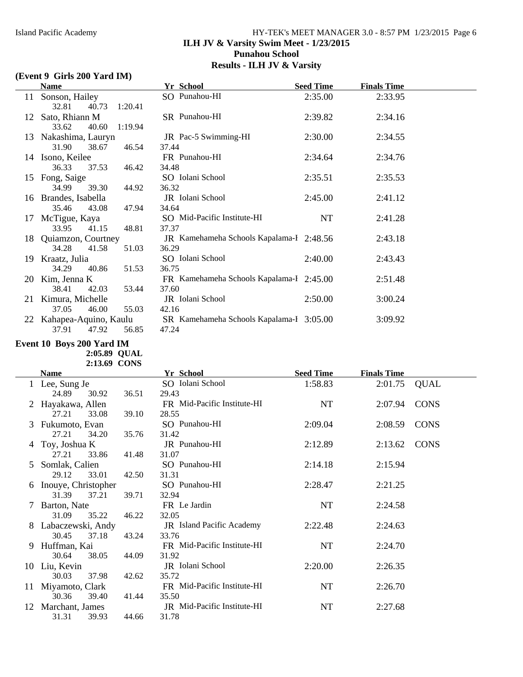# Island Pacific Academy HY-TEK's MEET MANAGER 3.0 - 8:57 PM 1/23/2015 Page 6 **ILH JV & Varsity Swim Meet - 1/23/2015 Punahou School Results - ILH JV & Varsity**

# **(Event 9 Girls 200 Yard IM)**

|    | <b>Name</b>           |                | Yr School                                | <b>Seed Time</b> | <b>Finals Time</b> |  |
|----|-----------------------|----------------|------------------------------------------|------------------|--------------------|--|
| 11 | Sonson, Hailey        |                | SO Punahou-HI                            | 2:35.00          | 2:33.95            |  |
|    | 32.81<br>40.73        | 1:20.41        |                                          |                  |                    |  |
| 12 | Sato, Rhiann M        |                | SR Punahou-HI                            | 2:39.82          | 2:34.16            |  |
|    | 40.60<br>33.62        | 1:19.94        |                                          |                  |                    |  |
|    | 13 Nakashima, Lauryn  |                | JR Pac-5 Swimming-HI                     | 2:30.00          | 2:34.55            |  |
|    | 31.90<br>38.67        | 37.44<br>46.54 |                                          |                  |                    |  |
|    | 14 Isono, Keilee      |                | FR Punahou-HI                            | 2:34.64          | 2:34.76            |  |
|    | 36.33<br>37.53        | 34.48<br>46.42 |                                          |                  |                    |  |
| 15 | Fong, Saige           |                | SO Iolani School                         | 2:35.51          | 2:35.53            |  |
|    | 34.99<br>39.30        | 36.32<br>44.92 |                                          |                  |                    |  |
| 16 | Brandes, Isabella     |                | JR Iolani School                         | 2:45.00          | 2:41.12            |  |
|    | 35.46<br>43.08        | 47.94<br>34.64 |                                          |                  |                    |  |
| 17 | McTigue, Kaya         |                | SO Mid-Pacific Institute-HI              | NT               | 2:41.28            |  |
|    | 33.95<br>41.15        | 37.37<br>48.81 |                                          |                  |                    |  |
|    | 18 Quiamzon, Courtney |                | JR Kamehameha Schools Kapalama-I 2:48.56 |                  | 2:43.18            |  |
|    | 34.28<br>41.58        | 51.03<br>36.29 |                                          |                  |                    |  |
| 19 | Kraatz, Julia         |                | SO Iolani School                         | 2:40.00          | 2:43.43            |  |
|    | 40.86<br>34.29        | 36.75<br>51.53 |                                          |                  |                    |  |
| 20 | Kim, Jenna K          |                | FR Kamehameha Schools Kapalama-I 2:45.00 |                  | 2:51.48            |  |
|    | 38.41<br>42.03        | 37.60<br>53.44 |                                          |                  |                    |  |
| 21 | Kimura, Michelle      |                | JR Iolani School                         | 2:50.00          | 3:00.24            |  |
|    | 37.05<br>46.00        | 55.03<br>42.16 |                                          |                  |                    |  |
| 22 | Kahapea-Aquino, Kaulu |                | SR Kamehameha Schools Kapalama-I 3:05.00 |                  | 3:09.92            |  |
|    | 37.91<br>47.92        | 56.85<br>47.24 |                                          |                  |                    |  |

# **Event 10 Boys 200 Yard IM**

**2:05.89 QUAL 2:13.69 CONS**

|    | <b>Name</b>         |       |       | Yr School                   | <b>Seed Time</b> | <b>Finals Time</b> |             |
|----|---------------------|-------|-------|-----------------------------|------------------|--------------------|-------------|
|    | 1 Lee, Sung Je      |       |       | SO Iolani School            | 1:58.83          | 2:01.75            | <b>QUAL</b> |
|    | 24.89               | 30.92 | 36.51 | 29.43                       |                  |                    |             |
| 2  | Hayakawa, Allen     |       |       | FR Mid-Pacific Institute-HI | NT               | 2:07.94            | <b>CONS</b> |
|    | 27.21               | 33.08 | 39.10 | 28.55                       |                  |                    |             |
|    | 3 Fukumoto, Evan    |       |       | SO Punahou-HI               | 2:09.04          | 2:08.59            | <b>CONS</b> |
|    | 27.21               | 34.20 | 35.76 | 31.42                       |                  |                    |             |
| 4  | Toy, Joshua K       |       |       | JR Punahou-HI               | 2:12.89          | 2:13.62            | <b>CONS</b> |
|    | 27.21               | 33.86 | 41.48 | 31.07                       |                  |                    |             |
| 5. | Somlak, Calien      |       |       | SO Punahou-HI               | 2:14.18          | 2:15.94            |             |
|    | 29.12               | 33.01 | 42.50 | 31.31                       |                  |                    |             |
|    | Inouye, Christopher |       |       | SO Punahou-HI               | 2:28.47          | 2:21.25            |             |
|    | 31.39               | 37.21 | 39.71 | 32.94                       |                  |                    |             |
| 7  | Barton, Nate        |       |       | FR Le Jardin                | NT               | 2:24.58            |             |
|    | 31.09               | 35.22 | 46.22 | 32.05                       |                  |                    |             |
| 8  | Labaczewski, Andy   |       |       | JR Island Pacific Academy   | 2:22.48          | 2:24.63            |             |
|    | 30.45               | 37.18 | 43.24 | 33.76                       |                  |                    |             |
| 9  | Huffman, Kai        |       |       | FR Mid-Pacific Institute-HI | NT               | 2:24.70            |             |
|    | 30.64               | 38.05 | 44.09 | 31.92                       |                  |                    |             |
| 10 | Liu, Kevin          |       |       | JR Iolani School            | 2:20.00          | 2:26.35            |             |
|    | 30.03               | 37.98 | 42.62 | 35.72                       |                  |                    |             |
| 11 | Miyamoto, Clark     |       |       | FR Mid-Pacific Institute-HI | NT               | 2:26.70            |             |
|    | 30.36               | 39.40 | 41.44 | 35.50                       |                  |                    |             |
|    | 12 Marchant, James  |       |       | JR Mid-Pacific Institute-HI | NT               | 2:27.68            |             |
|    | 31.31               | 39.93 | 44.66 | 31.78                       |                  |                    |             |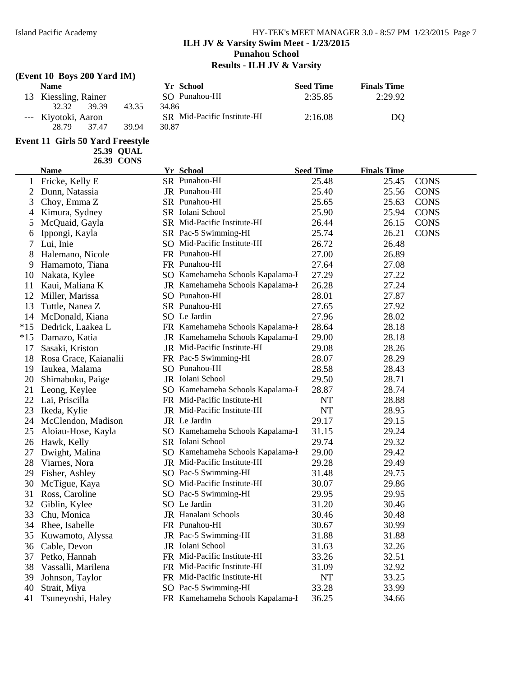**(Event 10 Boys 200 Yard IM)**

## Island Pacific Academy HY-TEK's MEET MANAGER 3.0 - 8:57 PM 1/23/2015 Page 7 **ILH JV & Varsity Swim Meet - 1/23/2015 Punahou School Results - ILH JV & Varsity**

# **Name Seed Time Seed Time Finals Time** 13 Kiessling, Rainer SO Punahou-HI 2:35.85 2:29.92 32.32 39.39 43.35 34.86 --- Kiyotoki, Aaron SR Mid-Pacific Institute-HI 2:16.08 DQ<br>28.79 37.47 39.94 30.87 28.79 37.47 39.94 30.87 **Event 11 Girls 50 Yard Freestyle 25.39 QUAL 26.39 CONS Name Seed Time Seed Time Finals Time** 1 Fricke, Kelly E 25.45 CONS 2 Dunn, Natassia 25.56 CONS JR Punahou-HI 25.40 3 Choy, Emma Z SR Punahou-HI 25.65 25.63 CONS 4 Kimura, Sydney 25.94 CONS SR Iolani School 25.90 5 McQuaid, Gayla 26.15 SR Mid-Pacific Institute-HI 26.44 26.15 CONS 6 Ippongi, Kayla 26.21 CONS SR Pac-5 Swimming-HI 25.74 7 Lui, Inie SO Mid-Pacific Institute-HI 26.72 26.48 8 Halemano, Nicole **19 FR Punahou-HI** 27.00 26.89 9 Hamamoto, Tiana 27.08 FR Punahou-HI 27.64 10 Nakata, Kylee 27.22 SO Kamehameha Schools Kapalama-H 27.29 11 Kaui, Maliana K 19 JR Kamehameha Schools Kapalama-H 26.28 27.24<br>12 Miller, Marissa SO Punahou-HI 28.01 27.87 12 Miller, Marissa 27.87 SO Punahou-HI 28.01 13 Tuttle, Nanea Z SR Punahou-HI 27.65 27.92 14 McDonald, Kiana 28.02 SO Le Jardin 27.96 28.02

|                       |                                     | 28.64                                                                                                                                                                                                                                                                                                                                                                                                                                                                                                                                                                                                                                                                                         | 28.18 |
|-----------------------|-------------------------------------|-----------------------------------------------------------------------------------------------------------------------------------------------------------------------------------------------------------------------------------------------------------------------------------------------------------------------------------------------------------------------------------------------------------------------------------------------------------------------------------------------------------------------------------------------------------------------------------------------------------------------------------------------------------------------------------------------|-------|
| Damazo, Katia         |                                     | 29.00                                                                                                                                                                                                                                                                                                                                                                                                                                                                                                                                                                                                                                                                                         | 28.18 |
| Sasaki, Kriston       |                                     | 29.08                                                                                                                                                                                                                                                                                                                                                                                                                                                                                                                                                                                                                                                                                         | 28.26 |
| Rosa Grace, Kaianalii |                                     | 28.07                                                                                                                                                                                                                                                                                                                                                                                                                                                                                                                                                                                                                                                                                         | 28.29 |
| Iaukea, Malama        |                                     | 28.58                                                                                                                                                                                                                                                                                                                                                                                                                                                                                                                                                                                                                                                                                         | 28.43 |
| Shimabuku, Paige      |                                     | 29.50                                                                                                                                                                                                                                                                                                                                                                                                                                                                                                                                                                                                                                                                                         | 28.71 |
| Leong, Keylee         |                                     | 28.87                                                                                                                                                                                                                                                                                                                                                                                                                                                                                                                                                                                                                                                                                         | 28.74 |
| Lai, Priscilla        |                                     | NT                                                                                                                                                                                                                                                                                                                                                                                                                                                                                                                                                                                                                                                                                            | 28.88 |
| Ikeda, Kylie          |                                     | NT                                                                                                                                                                                                                                                                                                                                                                                                                                                                                                                                                                                                                                                                                            | 28.95 |
| McClendon, Madison    |                                     | 29.17                                                                                                                                                                                                                                                                                                                                                                                                                                                                                                                                                                                                                                                                                         | 29.15 |
| Aloiau-Hose, Kayla    |                                     | 31.15                                                                                                                                                                                                                                                                                                                                                                                                                                                                                                                                                                                                                                                                                         | 29.24 |
| Hawk, Kelly           |                                     | 29.74                                                                                                                                                                                                                                                                                                                                                                                                                                                                                                                                                                                                                                                                                         | 29.32 |
| Dwight, Malina        |                                     | 29.00                                                                                                                                                                                                                                                                                                                                                                                                                                                                                                                                                                                                                                                                                         | 29.42 |
| Viarnes, Nora         |                                     | 29.28                                                                                                                                                                                                                                                                                                                                                                                                                                                                                                                                                                                                                                                                                         | 29.49 |
| Fisher, Ashley        |                                     | 31.48                                                                                                                                                                                                                                                                                                                                                                                                                                                                                                                                                                                                                                                                                         | 29.75 |
| McTigue, Kaya         |                                     | 30.07                                                                                                                                                                                                                                                                                                                                                                                                                                                                                                                                                                                                                                                                                         | 29.86 |
| Ross, Caroline        |                                     | 29.95                                                                                                                                                                                                                                                                                                                                                                                                                                                                                                                                                                                                                                                                                         | 29.95 |
| Giblin, Kylee         |                                     | 31.20                                                                                                                                                                                                                                                                                                                                                                                                                                                                                                                                                                                                                                                                                         | 30.46 |
| Chu, Monica           |                                     | 30.46                                                                                                                                                                                                                                                                                                                                                                                                                                                                                                                                                                                                                                                                                         | 30.48 |
| Rhee, Isabelle        |                                     | 30.67                                                                                                                                                                                                                                                                                                                                                                                                                                                                                                                                                                                                                                                                                         | 30.99 |
| Kuwamoto, Alyssa      |                                     | 31.88                                                                                                                                                                                                                                                                                                                                                                                                                                                                                                                                                                                                                                                                                         | 31.88 |
| Cable, Devon          |                                     | 31.63                                                                                                                                                                                                                                                                                                                                                                                                                                                                                                                                                                                                                                                                                         | 32.26 |
| Petko, Hannah         |                                     | 33.26                                                                                                                                                                                                                                                                                                                                                                                                                                                                                                                                                                                                                                                                                         | 32.51 |
| Vassalli, Marilena    |                                     | 31.09                                                                                                                                                                                                                                                                                                                                                                                                                                                                                                                                                                                                                                                                                         | 32.92 |
| Johnson, Taylor       |                                     | NT                                                                                                                                                                                                                                                                                                                                                                                                                                                                                                                                                                                                                                                                                            | 33.25 |
|                       | Dedrick, Laakea L<br>$*15$<br>$*15$ | FR Kamehameha Schools Kapalama-I<br>JR Kamehameha Schools Kapalama-I<br>JR Mid-Pacific Institute-HI<br>FR Pac-5 Swimming-HI<br>SO Punahou-HI<br>JR Iolani School<br>SO Kamehameha Schools Kapalama-I<br>FR Mid-Pacific Institute-HI<br>JR Mid-Pacific Institute-HI<br>JR Le Jardin<br>SO Kamehameha Schools Kapalama-I<br>SR Iolani School<br>SO Kamehameha Schools Kapalama-I<br>JR Mid-Pacific Institute-HI<br>SO Pac-5 Swimming-HI<br>SO Mid-Pacific Institute-HI<br>SO Pac-5 Swimming-HI<br>SO Le Jardin<br>JR Hanalani Schools<br>FR Punahou-HI<br>JR Pac-5 Swimming-HI<br>JR Iolani School<br>FR Mid-Pacific Institute-HI<br>FR Mid-Pacific Institute-HI<br>FR Mid-Pacific Institute-HI |       |

- 40 Strait, Miya SO Pac-5 Swimming-HI 33.28 33.99
- 41 Tsuneyoshi, Haley 34.66 FR Kamehameha Schools Kapalama-H 36.25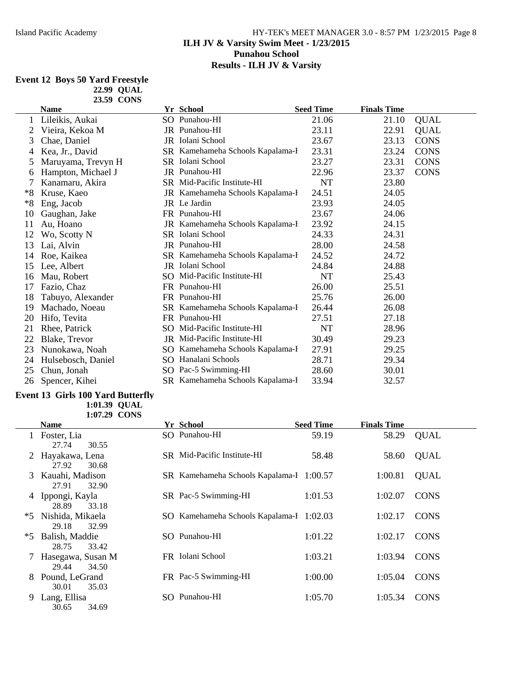## Island Pacific Academy HY-TEK's MEET MANAGER 3.0 - 8:57 PM 1/23/2015 Page 8 **ILH JV & Varsity Swim Meet - 1/23/2015 Punahou School Results - ILH JV & Varsity**

## **Event 12 Boys 50 Yard Freestyle**

| <b>22.99 QUAL</b> |
|-------------------|
| 23.59 CONS        |

|      | <b>Name</b>        | <b>Yr School</b>                 | <b>Seed Time</b> | <b>Finals Time</b> |             |
|------|--------------------|----------------------------------|------------------|--------------------|-------------|
|      | Lileikis, Aukai    | SO Punahou-HI                    | 21.06            | 21.10              | <b>QUAL</b> |
|      | Vieira, Kekoa M    | JR Punahou-HI                    | 23.11            | 22.91              | <b>QUAL</b> |
| 3    | Chae, Daniel       | JR Iolani School                 | 23.67            | 23.13              | <b>CONS</b> |
| 4    | Kea, Jr., David    | SR Kamehameha Schools Kapalama-I | 23.31            | 23.24              | <b>CONS</b> |
| 5    | Maruyama, Trevyn H | SR Iolani School                 | 23.27            | 23.31              | <b>CONS</b> |
| 6    | Hampton, Michael J | JR Punahou-HI                    | 22.96            | 23.37              | <b>CONS</b> |
| 7    | Kanamaru, Akira    | SR Mid-Pacific Institute-HI      | NT               | 23.80              |             |
| *8   | Kruse, Kaeo        | JR Kamehameha Schools Kapalama-I | 24.51            | 24.05              |             |
| $*8$ | Eng, Jacob         | JR Le Jardin                     | 23.93            | 24.05              |             |
| 10   | Gaughan, Jake      | FR Punahou-HI                    | 23.67            | 24.06              |             |
| 11   | Au, Hoano          | JR Kamehameha Schools Kapalama-I | 23.92            | 24.15              |             |
| 12   | Wo, Scotty N       | SR Iolani School                 | 24.33            | 24.31              |             |
| 13   | Lai, Alvin         | JR Punahou-HI                    | 28.00            | 24.58              |             |
| 14   | Roe, Kaikea        | SR Kamehameha Schools Kapalama-I | 24.52            | 24.72              |             |
| 15   | Lee, Albert        | JR Iolani School                 | 24.84            | 24.88              |             |
| 16   | Mau, Robert        | SO Mid-Pacific Institute-HI      | NT               | 25.43              |             |
| 17   | Fazio, Chaz        | FR Punahou-HI                    | 26.00            | 25.51              |             |
| 18   | Tabuyo, Alexander  | FR Punahou-HI                    | 25.76            | 26.00              |             |
| 19   | Machado, Noeau     | SR Kamehameha Schools Kapalama-I | 26.44            | 26.08              |             |
| 20   | Hifo, Tevita       | FR Punahou-HI                    | 27.51            | 27.18              |             |
| 21   | Rhee, Patrick      | SO Mid-Pacific Institute-HI      | NT               | 28.96              |             |
| 22   | Blake, Trevor      | JR Mid-Pacific Institute-HI      | 30.49            | 29.23              |             |
| 23   | Nunokawa, Noah     | SO Kamehameha Schools Kapalama-I | 27.91            | 29.25              |             |
| 24   | Hulsebosch, Daniel | SO Hanalani Schools              | 28.71            | 29.34              |             |
| 25   | Chun, Jonah        | SO Pac-5 Swimming-HI             | 28.60            | 30.01              |             |
| 26   | Spencer, Kihei     | SR Kamehameha Schools Kapalama-I | 33.94            | 32.57              |             |

#### **Event 13 Girls 100 Yard Butterfly 1:01.39 QUAL**

**1:07.29 CONS**

|      | <b>Name</b>                                        | Yr School                                | <b>Seed Time</b> | <b>Finals Time</b> |             |
|------|----------------------------------------------------|------------------------------------------|------------------|--------------------|-------------|
|      | Foster, Lia                                        | SO Punahou-HI                            | 59.19            | 58.29              | <b>QUAL</b> |
|      | 30.55<br>27.74<br>Hayakawa, Lena<br>30.68<br>27.92 | <b>SR</b> Mid-Pacific Institute-HI       | 58.48            | 58.60              | <b>QUAL</b> |
| 3    | Kauahi, Madison<br>32.90<br>27.91                  | SR Kamehameha Schools Kapalama-I 1:00.57 |                  | 1:00.81            | <b>QUAL</b> |
| 4    | Ippongi, Kayla<br>33.18<br>28.89                   | SR Pac-5 Swimming-HI                     | 1:01.53          | 1:02.07            | <b>CONS</b> |
| $*5$ | Nishida, Mikaela<br>32.99<br>29.18                 | SO Kamehameha Schools Kapalama-I 1:02.03 |                  | 1:02.17            | <b>CONS</b> |
| *5   | Balish, Maddie<br>33.42<br>28.75                   | SO Punahou-HI                            | 1:01.22          | 1:02.17            | <b>CONS</b> |
|      | Hasegawa, Susan M<br>34.50<br>29.44                | FR Iolani School                         | 1:03.21          | 1:03.94            | <b>CONS</b> |
| 8    | Pound, LeGrand<br>30.01<br>35.03                   | FR Pac-5 Swimming-HI                     | 1:00.00          | 1:05.04            | <b>CONS</b> |
| 9    | Lang, Ellisa<br>34.69<br>30.65                     | SO Punahou-HI                            | 1:05.70          | 1:05.34            | <b>CONS</b> |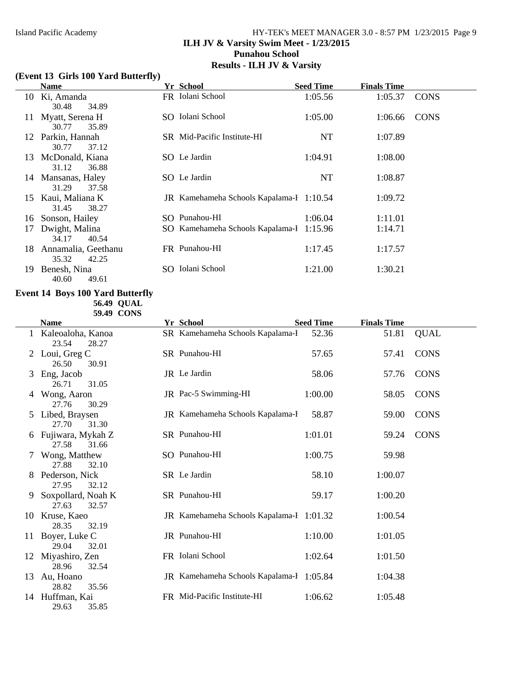# Island Pacific Academy HY-TEK's MEET MANAGER 3.0 - 8:57 PM 1/23/2015 Page 9 **ILH JV & Varsity Swim Meet - 1/23/2015 Punahou School Results - ILH JV & Varsity**

#### **(Event 13 Girls 100 Yard Butterfly)**

|    | <b>Name</b>         | Yr School                                | <b>Seed Time</b> | <b>Finals Time</b> |             |
|----|---------------------|------------------------------------------|------------------|--------------------|-------------|
|    | 10 Ki, Amanda       | FR Iolani School                         | 1:05.56          | 1:05.37            | <b>CONS</b> |
|    | 30.48<br>34.89      |                                          |                  |                    |             |
| 11 | Myatt, Serena H     | SO Iolani School                         | 1:05.00          | 1:06.66            | <b>CONS</b> |
|    | 35.89<br>30.77      |                                          |                  |                    |             |
| 12 | Parkin, Hannah      | <b>SR</b> Mid-Pacific Institute-HI       | NT               | 1:07.89            |             |
|    | 30.77<br>37.12      |                                          |                  |                    |             |
| 13 | McDonald, Kiana     | SO Le Jardin                             | 1:04.91          | 1:08.00            |             |
|    | 31.12<br>36.88      |                                          |                  |                    |             |
| 14 | Mansanas, Haley     | SO Le Jardin                             | NT               | 1:08.87            |             |
|    | 37.58<br>31.29      |                                          |                  |                    |             |
| 15 | Kaui, Maliana K     | JR Kamehameha Schools Kapalama-I 1:10.54 |                  | 1:09.72            |             |
|    | 31.45<br>38.27      |                                          |                  |                    |             |
| 16 | Sonson, Hailey      | SO Punahou-HI                            | 1:06.04          | 1:11.01            |             |
| 17 | Dwight, Malina      | SO Kamehameha Schools Kapalama-I 1:15.96 |                  | 1:14.71            |             |
|    | 40.54<br>34.17      |                                          |                  |                    |             |
| 18 | Annamalia, Geethanu | FR Punahou-HI                            | 1:17.45          | 1:17.57            |             |
|    | 35.32<br>42.25      |                                          |                  |                    |             |
| 19 | Benesh, Nina        | SO Iolani School                         | 1:21.00          | 1:30.21            |             |
|    | 40.60<br>49.61      |                                          |                  |                    |             |

# **Event 14 Boys 100 Yard Butterfly**

**56.49 QUAL 59.49 CONS**

|    | <b>Name</b>                          | Yr School                                | <b>Seed Time</b> | <b>Finals Time</b> |             |
|----|--------------------------------------|------------------------------------------|------------------|--------------------|-------------|
|    | Kaleoaloha, Kanoa<br>23.54<br>28.27  | SR Kamehameha Schools Kapalama-I         | 52.36            | 51.81              | <b>QUAL</b> |
|    | 2 Loui, Greg C<br>26.50<br>30.91     | SR Punahou-HI                            | 57.65            | 57.41              | <b>CONS</b> |
| 3  | Eng, Jacob<br>26.71<br>31.05         | JR Le Jardin                             | 58.06            | 57.76              | <b>CONS</b> |
| 4  | Wong, Aaron<br>27.76<br>30.29        | JR Pac-5 Swimming-HI                     | 1:00.00          | 58.05              | <b>CONS</b> |
| 5  | Libed, Braysen<br>27.70<br>31.30     | JR Kamehameha Schools Kapalama-I         | 58.87            | 59.00              | <b>CONS</b> |
|    | Fujiwara, Mykah Z<br>27.58<br>31.66  | SR Punahou-HI                            | 1:01.01          | 59.24              | <b>CONS</b> |
| 7  | Wong, Matthew<br>27.88<br>32.10      | SO Punahou-HI                            | 1:00.75          | 59.98              |             |
| 8  | Pederson, Nick<br>27.95<br>32.12     | SR Le Jardin                             | 58.10            | 1:00.07            |             |
| 9  | Soxpollard, Noah K<br>27.63<br>32.57 | SR Punahou-HI                            | 59.17            | 1:00.20            |             |
| 10 | Kruse, Kaeo<br>28.35<br>32.19        | JR Kamehameha Schools Kapalama-I 1:01.32 |                  | 1:00.54            |             |
| 11 | Boyer, Luke C<br>32.01<br>29.04      | JR Punahou-HI                            | 1:10.00          | 1:01.05            |             |
| 12 | Miyashiro, Zen<br>28.96<br>32.54     | FR Iolani School                         | 1:02.64          | 1:01.50            |             |
| 13 | Au, Hoano<br>28.82<br>35.56          | JR Kamehameha Schools Kapalama-I 1:05.84 |                  | 1:04.38            |             |
| 14 | Huffman, Kai<br>29.63<br>35.85       | FR Mid-Pacific Institute-HI              | 1:06.62          | 1:05.48            |             |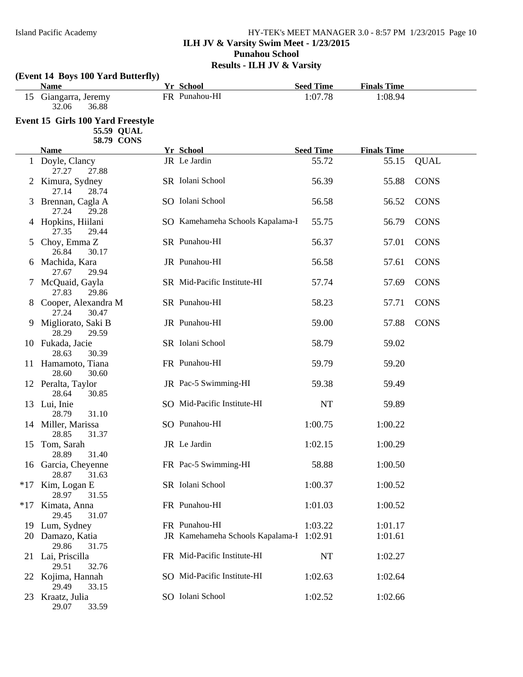## Island Pacific Academy HY-TEK's MEET MANAGER 3.0 - 8:57 PM 1/23/2015 Page 10 **ILH JV & Varsity Swim Meet - 1/23/2015 Punahou School Results - ILH JV & Varsity**

|       | (Event 14 Boys 100 Yard Butterfly)<br><b>Name</b>             | Yr School                        | <b>Seed Time</b> | <b>Finals Time</b> |             |
|-------|---------------------------------------------------------------|----------------------------------|------------------|--------------------|-------------|
|       | 15 Giangarra, Jeremy<br>32.06<br>36.88                        | FR Punahou-HI                    | 1:07.78          | 1:08.94            |             |
|       | Event 15 Girls 100 Yard Freestyle<br>55.59 QUAL<br>58.79 CONS |                                  |                  |                    |             |
|       | <b>Name</b>                                                   | <b>Yr School</b>                 | <b>Seed Time</b> | <b>Finals Time</b> |             |
|       | 1 Doyle, Clancy<br>27.27<br>27.88                             | JR Le Jardin                     | 55.72            | 55.15              | <b>QUAL</b> |
|       | 2 Kimura, Sydney<br>27.14<br>28.74                            | SR Iolani School                 | 56.39            | 55.88              | <b>CONS</b> |
|       | 3 Brennan, Cagla A<br>27.24<br>29.28                          | SO Iolani School                 | 56.58            | 56.52              | <b>CONS</b> |
|       | 4 Hopkins, Hiilani<br>27.35<br>29.44                          | SO Kamehameha Schools Kapalama-I | 55.75            | 56.79              | <b>CONS</b> |
|       | 5 Choy, Emma Z<br>26.84<br>30.17                              | SR Punahou-HI                    | 56.37            | 57.01              | <b>CONS</b> |
|       | 6 Machida, Kara<br>27.67<br>29.94                             | JR Punahou-HI                    | 56.58            | 57.61              | <b>CONS</b> |
|       | 7 McQuaid, Gayla<br>27.83<br>29.86                            | SR Mid-Pacific Institute-HI      | 57.74            | 57.69              | <b>CONS</b> |
|       | 8 Cooper, Alexandra M<br>27.24<br>30.47                       | SR Punahou-HI                    | 58.23            | 57.71              | <b>CONS</b> |
|       | 9 Migliorato, Saki B<br>28.29<br>29.59                        | JR Punahou-HI                    | 59.00            | 57.88              | <b>CONS</b> |
|       | 10 Fukada, Jacie<br>28.63<br>30.39                            | SR Iolani School                 | 58.79            | 59.02              |             |
|       | 11 Hamamoto, Tiana<br>30.60<br>28.60                          | FR Punahou-HI                    | 59.79            | 59.20              |             |
|       | 12 Peralta, Taylor<br>28.64<br>30.85                          | JR Pac-5 Swimming-HI             | 59.38            | 59.49              |             |
|       | 13 Lui, Inie<br>28.79<br>31.10                                | SO Mid-Pacific Institute-HI      | <b>NT</b>        | 59.89              |             |
|       | 14 Miller, Marissa<br>28.85<br>31.37                          | SO Punahou-HI                    | 1:00.75          | 1:00.22            |             |
| 15    | Tom, Sarah<br>31.40<br>28.89                                  | JR Le Jardin                     | 1:02.15          | 1:00.29            |             |
|       | 16 Garcia, Cheyenne<br>28.87<br>31.63                         | FR Pac-5 Swimming-HI             | 58.88            | 1:00.50            |             |
| $*17$ | Kim, Logan E<br>28.97<br>31.55                                | SR Iolani School                 | 1:00.37          | 1:00.52            |             |
| $*17$ | Kimata, Anna<br>29.45<br>31.07                                | FR Punahou-HI                    | 1:01.03          | 1:00.52            |             |
|       | 19 Lum, Sydney                                                | FR Punahou-HI                    | 1:03.22          | 1:01.17            |             |
|       | 20 Damazo, Katia<br>29.86<br>31.75                            | JR Kamehameha Schools Kapalama-I | 1:02.91          | 1:01.61            |             |
|       | 21 Lai, Priscilla<br>29.51<br>32.76                           | FR Mid-Pacific Institute-HI      | NT               | 1:02.27            |             |
|       | 22 Kojima, Hannah<br>29.49<br>33.15                           | SO Mid-Pacific Institute-HI      | 1:02.63          | 1:02.64            |             |
|       | 23 Kraatz, Julia<br>33.59<br>29.07                            | SO Iolani School                 | 1:02.52          | 1:02.66            |             |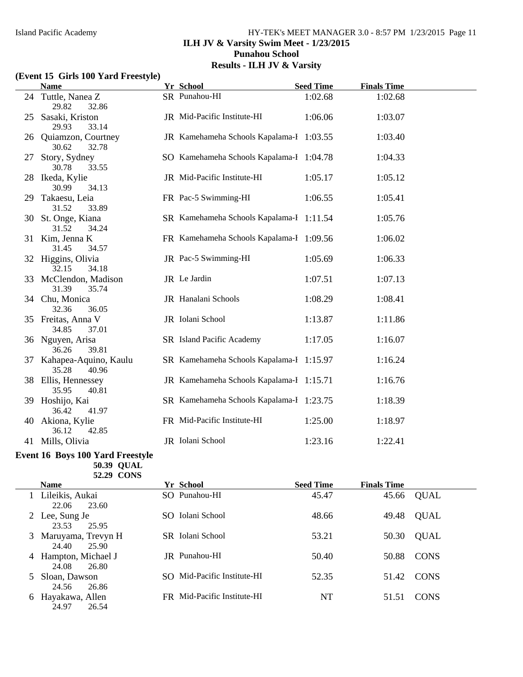### Island Pacific Academy HY-TEK's MEET MANAGER 3.0 - 8:57 PM 1/23/2015 Page 11 **ILH JV & Varsity Swim Meet - 1/23/2015 Punahou School Results - ILH JV & Varsity**

#### **(Event 15 Girls 100 Yard Freestyle)**

**52.29 CONS**

|    | <b>Name</b>                                           | <b>Yr School</b>                         | <b>Seed Time</b> | <b>Finals Time</b> |  |
|----|-------------------------------------------------------|------------------------------------------|------------------|--------------------|--|
|    | 24 Tuttle, Nanea Z<br>29.82<br>32.86                  | SR Punahou-HI                            | 1:02.68          | 1:02.68            |  |
| 25 | Sasaki, Kriston<br>29.93<br>33.14                     | JR Mid-Pacific Institute-HI              | 1:06.06          | 1:03.07            |  |
|    | 26 Quiamzon, Courtney<br>30.62<br>32.78               | JR Kamehameha Schools Kapalama-I 1:03.55 |                  | 1:03.40            |  |
| 27 | Story, Sydney<br>30.78<br>33.55                       | SO Kamehameha Schools Kapalama-I 1:04.78 |                  | 1:04.33            |  |
|    | 28 Ikeda, Kylie<br>30.99<br>34.13                     | JR Mid-Pacific Institute-HI              | 1:05.17          | 1:05.12            |  |
|    | 29 Takaesu, Leia<br>31.52<br>33.89                    | FR Pac-5 Swimming-HI                     | 1:06.55          | 1:05.41            |  |
|    | 30 St. Onge, Kiana<br>31.52<br>34.24                  | SR Kamehameha Schools Kapalama-I 1:11.54 |                  | 1:05.76            |  |
|    | 31 Kim, Jenna K<br>31.45<br>34.57                     | FR Kamehameha Schools Kapalama-I 1:09.56 |                  | 1:06.02            |  |
|    | 32 Higgins, Olivia<br>34.18<br>32.15                  | JR Pac-5 Swimming-HI                     | 1:05.69          | 1:06.33            |  |
|    | 33 McClendon, Madison<br>31.39<br>35.74               | JR Le Jardin                             | 1:07.51          | 1:07.13            |  |
|    | 34 Chu, Monica<br>32.36<br>36.05                      | JR Hanalani Schools                      | 1:08.29          | 1:08.41            |  |
|    | 35 Freitas, Anna V<br>34.85<br>37.01                  | JR Iolani School                         | 1:13.87          | 1:11.86            |  |
|    | 36 Nguyen, Arisa<br>39.81<br>36.26                    | SR Island Pacific Academy                | 1:17.05          | 1:16.07            |  |
|    | 37 Kahapea-Aquino, Kaulu<br>35.28<br>40.96            | SR Kamehameha Schools Kapalama-I 1:15.97 |                  | 1:16.24            |  |
|    | 38 Ellis, Hennessey<br>35.95<br>40.81                 | JR Kamehameha Schools Kapalama-I 1:15.71 |                  | 1:16.76            |  |
|    | 39 Hoshijo, Kai<br>36.42<br>41.97                     | SR Kamehameha Schools Kapalama-I 1:23.75 |                  | 1:18.39            |  |
|    | 40 Akiona, Kylie<br>36.12<br>42.85                    | FR Mid-Pacific Institute-HI              | 1:25.00          | 1:18.97            |  |
|    | 41 Mills, Olivia                                      | JR Iolani School                         | 1:23.16          | 1:22.41            |  |
|    | <b>Event 16 Boys 100 Yard Freestyle</b><br>50.39 QUAL |                                          |                  |                    |  |

**Name School Seed Time Finals Time** 1 Lileikis, Aukai SO Punahou-HI 45.47 45.66 QUAL 22.06 23.60 2 Lee, Sung Je SO Iolani School 48.66 49.48 QUAL 23.53 25.95 3 Maruyama, Trevyn H 5R Iolani School 53.21 50.30 QUAL 24.40 25.90 4 Hampton, Michael J JR Punahou-HI 50.40 50.88 CONS 24.08 26.80 5 Sloan, Dawson 50 Mid-Pacific Institute-HI 52.35 51.42 CONS 24.56 26.86 6 Hayakawa, Allen FR Mid-Pacific Institute-HI NT 51.51 CONS 24.97 26.54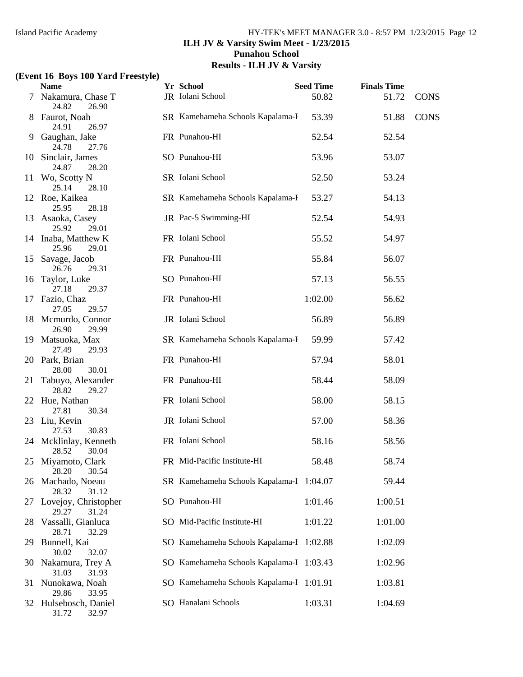## Island Pacific Academy HY-TEK's MEET MANAGER 3.0 - 8:57 PM 1/23/2015 Page 12 **ILH JV & Varsity Swim Meet - 1/23/2015 Punahou School Results - ILH JV & Varsity**

#### **(Event 16 Boys 100 Yard Freestyle)**

|     | <b>Name</b>                             | Yr School                                | <b>Seed Time</b> | <b>Finals Time</b> |             |
|-----|-----------------------------------------|------------------------------------------|------------------|--------------------|-------------|
|     | 7 Nakamura, Chase T<br>24.82<br>26.90   | JR Iolani School                         | 50.82            | 51.72              | <b>CONS</b> |
| 8   | Faurot, Noah<br>24.91<br>26.97          | SR Kamehameha Schools Kapalama-I         | 53.39            | 51.88              | <b>CONS</b> |
|     | 9 Gaughan, Jake<br>24.78<br>27.76       | FR Punahou-HI                            | 52.54            | 52.54              |             |
|     | 10 Sinclair, James<br>24.87<br>28.20    | SO Punahou-HI                            | 53.96            | 53.07              |             |
| 11. | Wo, Scotty N<br>25.14<br>28.10          | SR Iolani School                         | 52.50            | 53.24              |             |
|     | 12 Roe, Kaikea<br>25.95<br>28.18        | SR Kamehameha Schools Kapalama-I         | 53.27            | 54.13              |             |
|     | 13 Asaoka, Casey<br>25.92<br>29.01      | JR Pac-5 Swimming-HI                     | 52.54            | 54.93              |             |
|     | 14 Inaba, Matthew K<br>25.96<br>29.01   | FR Iolani School                         | 55.52            | 54.97              |             |
|     | 15 Savage, Jacob<br>26.76<br>29.31      | FR Punahou-HI                            | 55.84            | 56.07              |             |
|     | 16 Taylor, Luke<br>27.18<br>29.37       | SO Punahou-HI                            | 57.13            | 56.55              |             |
|     | 17 Fazio, Chaz<br>27.05<br>29.57        | FR Punahou-HI                            | 1:02.00          | 56.62              |             |
|     | 18 Mcmurdo, Connor<br>26.90<br>29.99    | JR Iolani School                         | 56.89            | 56.89              |             |
|     | 19 Matsuoka, Max<br>27.49<br>29.93      | SR Kamehameha Schools Kapalama-I         | 59.99            | 57.42              |             |
|     | 20 Park, Brian<br>28.00<br>30.01        | FR Punahou-HI                            | 57.94            | 58.01              |             |
| 21  | Tabuyo, Alexander<br>28.82<br>29.27     | FR Punahou-HI                            | 58.44            | 58.09              |             |
|     | 22 Hue, Nathan<br>27.81<br>30.34        | FR Iolani School                         | 58.00            | 58.15              |             |
|     | 23 Liu, Kevin<br>30.83<br>27.53         | JR Iolani School                         | 57.00            | 58.36              |             |
|     | 24 Mcklinlay, Kenneth<br>28.52<br>30.04 | FR Iolani School                         | 58.16            | 58.56              |             |
|     | 25 Miyamoto, Clark<br>28.20<br>30.54    | FR Mid-Pacific Institute-HI              | 58.48            | 58.74              |             |
| 26  | Machado, Noeau<br>28.32<br>31.12        | SR Kamehameha Schools Kapalama-I 1:04.07 |                  | 59.44              |             |
| 27  | Lovejoy, Christopher<br>29.27<br>31.24  | SO Punahou-HI                            | 1:01.46          | 1:00.51            |             |
| 28  | Vassalli, Gianluca<br>32.29<br>28.71    | SO Mid-Pacific Institute-HI              | 1:01.22          | 1:01.00            |             |
| 29  | Bunnell, Kai<br>30.02<br>32.07          | SO Kamehameha Schools Kapalama-I 1:02.88 |                  | 1:02.09            |             |
| 30  | Nakamura, Trey A<br>31.03<br>31.93      | SO Kamehameha Schools Kapalama-I 1:03.43 |                  | 1:02.96            |             |
| 31  | Nunokawa, Noah<br>29.86<br>33.95        | SO Kamehameha Schools Kapalama-I 1:01.91 |                  | 1:03.81            |             |
| 32  | Hulsebosch, Daniel<br>31.72<br>32.97    | SO Hanalani Schools                      | 1:03.31          | 1:04.69            |             |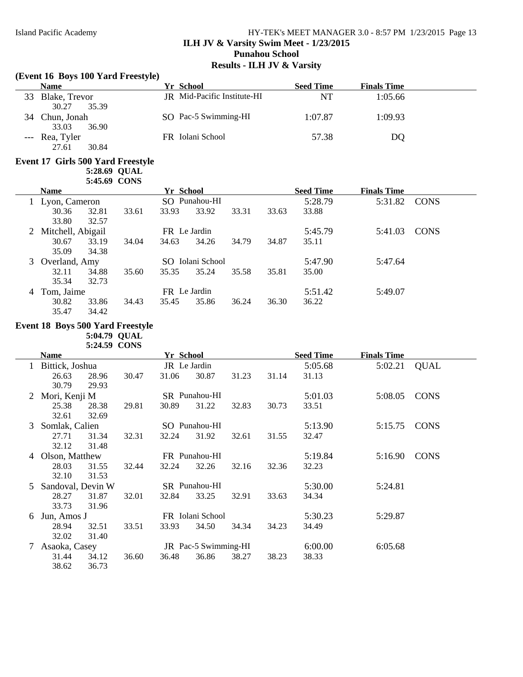## Island Pacific Academy HY-TEK's MEET MANAGER 3.0 - 8:57 PM 1/23/2015 Page 13 **ILH JV & Varsity Swim Meet - 1/23/2015 Punahou School Results - ILH JV & Varsity**

#### **(Event 16 Boys 100 Yard Freestyle)**

|                | <b>Name</b>                             |       |              | Yr School |                      |                             |       | <b>Seed Time</b> | <b>Finals Time</b> |             |
|----------------|-----------------------------------------|-------|--------------|-----------|----------------------|-----------------------------|-------|------------------|--------------------|-------------|
| 33             | Blake, Trevor                           |       |              |           |                      | JR Mid-Pacific Institute-HI |       | <b>NT</b>        | 1:05.66            |             |
|                | 30.27                                   | 35.39 |              |           |                      |                             |       |                  |                    |             |
| 34             | Chun, Jonah                             |       |              |           | SO Pac-5 Swimming-HI |                             |       | 1:07.87          | 1:09.93            |             |
|                | 33.03                                   | 36.90 |              |           |                      |                             |       |                  |                    |             |
| $---$          | Rea, Tyler                              |       |              |           | FR Iolani School     |                             |       | 57.38            | DQ                 |             |
|                | 27.61                                   | 30.84 |              |           |                      |                             |       |                  |                    |             |
|                | Event 17 Girls 500 Yard Freestyle       |       |              |           |                      |                             |       |                  |                    |             |
|                |                                         |       | 5:28.69 QUAL |           |                      |                             |       |                  |                    |             |
|                |                                         |       | 5:45.69 CONS |           |                      |                             |       |                  |                    |             |
|                | Name                                    |       |              | Yr School |                      |                             |       | <b>Seed Time</b> | <b>Finals Time</b> |             |
|                | Lyon, Cameron                           |       |              |           | SO Punahou-HI        |                             |       | 5:28.79          | 5:31.82            | <b>CONS</b> |
|                | 30.36                                   | 32.81 | 33.61        | 33.93     | 33.92                | 33.31                       | 33.63 | 33.88            |                    |             |
|                | 33.80                                   | 32.57 |              |           |                      |                             |       |                  |                    |             |
| 2              | Mitchell, Abigail                       |       |              |           | FR Le Jardin         |                             |       | 5:45.79          | 5:41.03            | <b>CONS</b> |
|                | 30.67                                   | 33.19 | 34.04        | 34.63     | 34.26                | 34.79                       | 34.87 | 35.11            |                    |             |
|                | 35.09                                   | 34.38 |              |           |                      |                             |       |                  |                    |             |
| 3              | Overland, Amy                           |       |              |           | SO Iolani School     |                             |       | 5:47.90          | 5:47.64            |             |
|                | 32.11                                   | 34.88 | 35.60        | 35.35     | 35.24                | 35.58                       | 35.81 | 35.00            |                    |             |
|                | 35.34                                   | 32.73 |              |           |                      |                             |       |                  |                    |             |
| $\overline{4}$ | Tom, Jaime                              |       |              |           | FR Le Jardin         |                             |       | 5:51.42          | 5:49.07            |             |
|                | 30.82                                   | 33.86 | 34.43        | 35.45     | 35.86                | 36.24                       | 36.30 | 36.22            |                    |             |
|                | 35.47                                   | 34.42 |              |           |                      |                             |       |                  |                    |             |
|                | <b>Event 18 Boys 500 Yard Freestyle</b> |       |              |           |                      |                             |       |                  |                    |             |
|                |                                         |       |              |           |                      |                             |       |                  |                    |             |

**5:04.79 QUAL 5:24.59 CONS**

|   | <b>Name</b>       |       |       | Yr School |                      |       |       | <b>Seed Time</b> | <b>Finals Time</b> |             |
|---|-------------------|-------|-------|-----------|----------------------|-------|-------|------------------|--------------------|-------------|
|   | Bittick, Joshua   |       |       |           | JR Le Jardin         |       |       | 5:05.68          | 5:02.21            | <b>QUAL</b> |
|   | 26.63             | 28.96 | 30.47 | 31.06     | 30.87                | 31.23 | 31.14 | 31.13            |                    |             |
|   | 30.79             | 29.93 |       |           |                      |       |       |                  |                    |             |
| 2 | Mori, Kenji M     |       |       |           | SR Punahou-HI        |       |       | 5:01.03          | 5:08.05            | <b>CONS</b> |
|   | 25.38             | 28.38 | 29.81 | 30.89     | 31.22                | 32.83 | 30.73 | 33.51            |                    |             |
|   | 32.61             | 32.69 |       |           |                      |       |       |                  |                    |             |
| 3 | Somlak, Calien    |       |       |           | SO Punahou-HI        |       |       | 5:13.90          | 5:15.75            | <b>CONS</b> |
|   | 27.71             | 31.34 | 32.31 | 32.24     | 31.92                | 32.61 | 31.55 | 32.47            |                    |             |
|   | 32.12             | 31.48 |       |           |                      |       |       |                  |                    |             |
| 4 | Olson, Matthew    |       |       |           | FR Punahou-HI        |       |       | 5:19.84          | 5:16.90            | <b>CONS</b> |
|   | 28.03             | 31.55 | 32.44 | 32.24     | 32.26                | 32.16 | 32.36 | 32.23            |                    |             |
|   | 32.10             | 31.53 |       |           |                      |       |       |                  |                    |             |
| 5 | Sandoval, Devin W |       |       |           | SR Punahou-HI        |       |       | 5:30.00          | 5:24.81            |             |
|   | 28.27             | 31.87 | 32.01 | 32.84     | 33.25                | 32.91 | 33.63 | 34.34            |                    |             |
|   | 33.73             | 31.96 |       |           |                      |       |       |                  |                    |             |
| 6 | Jun, Amos J       |       |       |           | FR Iolani School     |       |       | 5:30.23          | 5:29.87            |             |
|   | 28.94             | 32.51 | 33.51 | 33.93     | 34.50                | 34.34 | 34.23 | 34.49            |                    |             |
|   | 32.02             | 31.40 |       |           |                      |       |       |                  |                    |             |
|   | Asaoka, Casey     |       |       |           | JR Pac-5 Swimming-HI |       |       | 6:00.00          | 6:05.68            |             |
|   | 31.44             | 34.12 | 36.60 | 36.48     | 36.86                | 38.27 | 38.23 | 38.33            |                    |             |
|   | 38.62             | 36.73 |       |           |                      |       |       |                  |                    |             |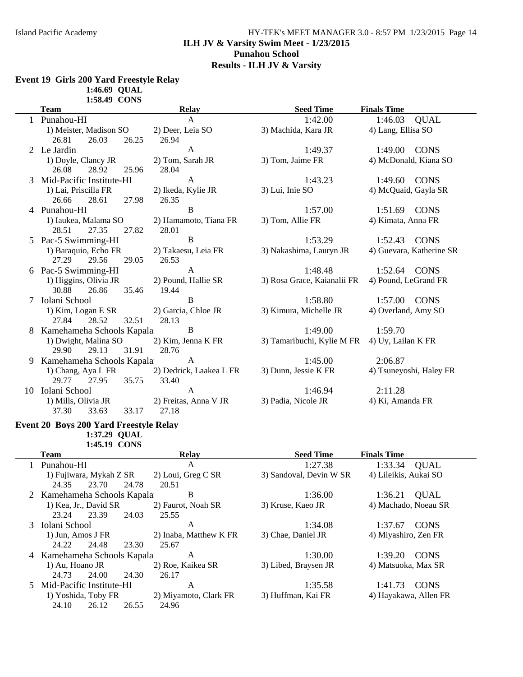### Island Pacific Academy HY-TEK's MEET MANAGER 3.0 - 8:57 PM 1/23/2015 Page 14 **ILH JV & Varsity Swim Meet - 1/23/2015 Punahou School Results - ILH JV & Varsity**

## **Event 19 Girls 200 Yard Freestyle Relay**

**1:46.69 QUAL**

|   | 1:58.49 CONS                                                                  |                                  |                             |                          |
|---|-------------------------------------------------------------------------------|----------------------------------|-----------------------------|--------------------------|
|   | <b>Team</b>                                                                   | <b>Relay</b>                     | <b>Seed Time</b>            | <b>Finals Time</b>       |
|   | 1 Punahou-HI                                                                  | $\mathbf{A}$                     | 1:42.00                     | 1:46.03<br><b>QUAL</b>   |
|   | 1) Meister, Madison SO<br>26.81<br>26.25<br>26.03                             | 2) Deer, Leia SO<br>26.94        | 3) Machida, Kara JR         | 4) Lang, Ellisa SO       |
|   | 2 Le Jardin                                                                   | $\mathbf{A}$                     | 1:49.37                     | 1:49.00 CONS             |
|   | 1) Doyle, Clancy JR<br>26.08<br>28.92<br>25.96                                | 2) Tom, Sarah JR<br>28.04        | 3) Tom, Jaime FR            | 4) McDonald, Kiana SO    |
| 3 | Mid-Pacific Institute-HI                                                      | $\mathbf{A}$                     | 1:43.23                     | 1:49.60 CONS             |
|   | 1) Lai, Priscilla FR<br>27.98<br>26.66<br>28.61                               | 2) Ikeda, Kylie JR<br>26.35      | 3) Lui, Inie SO             | 4) McQuaid, Gayla SR     |
|   | 4 Punahou-HI                                                                  | $\, {\bf B}$                     | 1:57.00                     | 1:51.69 CONS             |
|   | 1) Iaukea, Malama SO<br>27.35<br>27.82<br>28.51                               | 2) Hamamoto, Tiana FR<br>28.01   | 3) Tom, Allie FR            | 4) Kimata, Anna FR       |
|   | 5 Pac-5 Swimming-HI                                                           | $\, {\bf B}$                     | 1:53.29                     | 1:52.43 CONS             |
|   | 1) Baraquio, Echo FR<br>29.56<br>29.05<br>27.29                               | 2) Takaesu, Leia FR<br>26.53     | 3) Nakashima, Lauryn JR     | 4) Guevara, Katherine SR |
|   | 6 Pac-5 Swimming-HI                                                           | $\mathbf A$                      | 1:48.48                     | 1:52.64 CONS             |
|   | 1) Higgins, Olivia JR<br>30.88<br>26.86<br>35.46                              | 2) Pound, Hallie SR<br>19.44     | 3) Rosa Grace, Kaianalii FR | 4) Pound, LeGrand FR     |
|   | 7 Iolani School                                                               | $\, {\bf B}$                     | 1:58.80                     | 1:57.00 CONS             |
|   | 1) Kim, Logan E SR<br>27.84<br>28.52<br>32.51                                 | 2) Garcia, Chloe JR<br>28.13     | 3) Kimura, Michelle JR      | 4) Overland, Amy SO      |
| 8 | Kamehameha Schools Kapala                                                     | $\, {\bf B}$                     | 1:49.00                     | 1:59.70                  |
|   | 1) Dwight, Malina SO<br>29.90<br>29.13<br>31.91                               | 2) Kim, Jenna K FR<br>28.76      | 3) Tamaribuchi, Kylie M FR  | 4) Uy, Lailan K FR       |
| 9 | Kamehameha Schools Kapala                                                     | $\mathbf{A}$                     | 1:45.00                     | 2:06.87                  |
|   | 1) Chang, Aya L FR<br>29.77<br>27.95<br>35.75                                 | 2) Dedrick, Laakea L FR<br>33.40 | 3) Dunn, Jessie K FR        | 4) Tsuneyoshi, Haley FR  |
|   | 10 Iolani School                                                              | A                                | 1:46.94                     | 2:11.28                  |
|   | 1) Mills, Olivia JR<br>33.63<br>37.30<br>33.17                                | 2) Freitas, Anna V JR<br>27.18   | 3) Padia, Nicole JR         | 4) Ki, Amanda FR         |
|   | <b>Event 20 Boys 200 Yard Freestyle Relay</b><br>1:37.29 QUAL<br>1:45.19 CONS |                                  |                             |                          |
|   | <b>Team</b>                                                                   | <b>Relay</b>                     | <b>Seed Time</b>            | <b>Finals Time</b>       |
|   | 1 Punahou-HI                                                                  | A                                | 1:27.38                     | 1:33.34<br><b>QUAL</b>   |
|   | 1) Fujiwara, Mykah Z SR<br>24.35<br>23.70<br>24.78                            | 2) Loui, Greg C SR<br>20.51      | 3) Sandoval, Devin W SR     | 4) Lileikis, Aukai SO    |
| 2 | Kamehameha Schools Kapala                                                     | $\, {\bf B}$                     | 1:36.00                     | <b>QUAL</b><br>1:36.21   |
|   | 1) Kea, Jr., David SR<br>24.03<br>23.24<br>23.39                              | 2) Faurot, Noah SR<br>25.55      | 3) Kruse, Kaeo JR           | 4) Machado, Noeau SR     |
| 3 | Iolani School                                                                 | $\mathbf{A}$                     | 1:34.08                     | <b>CONS</b><br>1:37.67   |
|   | 1) Jun, Amos J FR<br>24.48<br>23.30<br>24.22                                  | 2) Inaba, Matthew K FR<br>25.67  | 3) Chae, Daniel JR          | 4) Miyashiro, Zen FR     |
|   | 4 Kamehameha Schools Kapala                                                   | A                                | 1:30.00                     | 1:39.20<br><b>CONS</b>   |
|   | 1) Au, Hoano JR<br>24.73<br>24.00<br>24.30                                    | 2) Roe, Kaikea SR<br>26.17       | 3) Libed, Braysen JR        | 4) Matsuoka, Max SR      |
| 5 | Mid-Pacific Institute-HI                                                      | A                                | 1:35.58                     | <b>CONS</b><br>1:41.73   |
|   | 1) Yoshida, Toby FR<br>24.10<br>26.12<br>26.55                                | 2) Miyamoto, Clark FR<br>24.96   | 3) Huffman, Kai FR          | 4) Hayakawa, Allen FR    |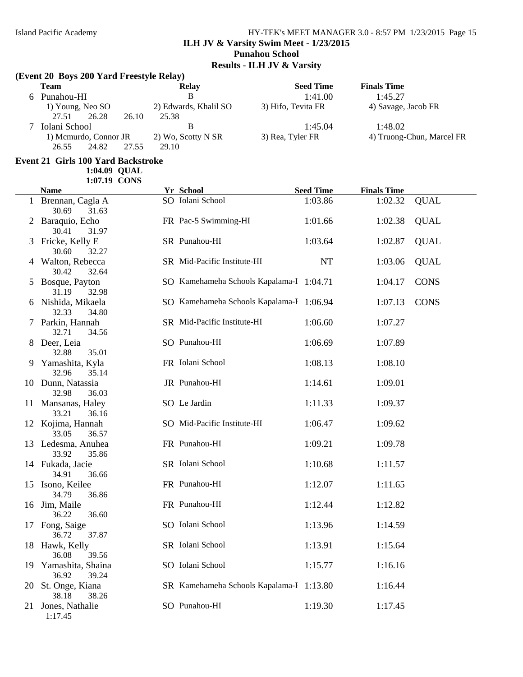## Island Pacific Academy HY-TEK's MEET MANAGER 3.0 - 8:57 PM 1/23/2015 Page 15 **ILH JV & Varsity Swim Meet - 1/23/2015 Punahou School Results - ILH JV & Varsity**

#### **(Event 20 Boys 200 Yard Freestyle Relay)**

|    | Team                                                              | <b>Relay</b>                   | <b>Seed Time</b>            | <b>Finals Time</b>                   |
|----|-------------------------------------------------------------------|--------------------------------|-----------------------------|--------------------------------------|
| h. | Punahou-HI                                                        | В                              | 1:41.00                     | 1:45.27                              |
|    | 1) Young, Neo SO<br>26.28<br>26.10<br>27.51                       | 2) Edwards, Khalil SO<br>25.38 | 3) Hifo, Tevita FR          | 4) Savage, Jacob FR                  |
|    | Iolani School<br>1) Mcmurdo, Connor JR<br>24.82<br>26.55<br>27.55 | 2) Wo, Scotty N SR<br>29.10    | 1:45.04<br>3) Rea, Tyler FR | 1:48.02<br>4) Truong-Chun, Marcel FR |

# **Event 21 Girls 100 Yard Backstroke**

**1:04.09 QUAL 1:07.19 CONS**

|    | <b>Name</b>                            | <b>Yr School</b>                         | <b>Seed Time</b> | <b>Finals Time</b> |             |
|----|----------------------------------------|------------------------------------------|------------------|--------------------|-------------|
|    | 1 Brennan, Cagla A<br>30.69<br>31.63   | SO Iolani School                         | 1:03.86          | 1:02.32            | <b>QUAL</b> |
|    | 2 Baraquio, Echo<br>30.41<br>31.97     | FR Pac-5 Swimming-HI                     | 1:01.66          | 1:02.38            | <b>QUAL</b> |
|    | 3 Fricke, Kelly E<br>30.60<br>32.27    | SR Punahou-HI                            | 1:03.64          | 1:02.87            | <b>QUAL</b> |
|    | 4 Walton, Rebecca<br>30.42<br>32.64    | SR Mid-Pacific Institute-HI              | <b>NT</b>        | 1:03.06            | <b>QUAL</b> |
|    | 5 Bosque, Payton<br>31.19<br>32.98     | SO Kamehameha Schools Kapalama-I 1:04.71 |                  | 1:04.17            | <b>CONS</b> |
|    | 6 Nishida, Mikaela<br>32.33<br>34.80   | SO Kamehameha Schools Kapalama-I 1:06.94 |                  | 1:07.13            | <b>CONS</b> |
|    | 7 Parkin, Hannah<br>32.71<br>34.56     | SR Mid-Pacific Institute-HI              | 1:06.60          | 1:07.27            |             |
|    | 8 Deer, Leia<br>32.88<br>35.01         | SO Punahou-HI                            | 1:06.69          | 1:07.89            |             |
| 9. | Yamashita, Kyla<br>32.96<br>35.14      | FR Iolani School                         | 1:08.13          | 1:08.10            |             |
|    | 10 Dunn, Natassia<br>32.98<br>36.03    | JR Punahou-HI                            | 1:14.61          | 1:09.01            |             |
|    | 11 Mansanas, Haley<br>33.21<br>36.16   | SO Le Jardin                             | 1:11.33          | 1:09.37            |             |
|    | 12 Kojima, Hannah<br>33.05<br>36.57    | SO Mid-Pacific Institute-HI              | 1:06.47          | 1:09.62            |             |
|    | 13 Ledesma, Anuhea<br>33.92<br>35.86   | FR Punahou-HI                            | 1:09.21          | 1:09.78            |             |
|    | 14 Fukada, Jacie<br>34.91<br>36.66     | SR Iolani School                         | 1:10.68          | 1:11.57            |             |
|    | 15 Isono, Keilee<br>34.79<br>36.86     | FR Punahou-HI                            | 1:12.07          | 1:11.65            |             |
|    | 16 Jim, Maile<br>36.22<br>36.60        | FR Punahou-HI                            | 1:12.44          | 1:12.82            |             |
|    | 17 Fong, Saige<br>36.72<br>37.87       | SO Iolani School                         | 1:13.96          | 1:14.59            |             |
|    | 18 Hawk, Kelly<br>39.56<br>36.08       | SR Iolani School                         | 1:13.91          | 1:15.64            |             |
|    | 19 Yamashita, Shaina<br>36.92<br>39.24 | SO Iolani School                         | 1:15.77          | 1:16.16            |             |
|    | 20 St. Onge, Kiana<br>38.18<br>38.26   | SR Kamehameha Schools Kapalama-I 1:13.80 |                  | 1:16.44            |             |
|    | 21 Jones, Nathalie<br>1:17.45          | SO Punahou-HI                            | 1:19.30          | 1:17.45            |             |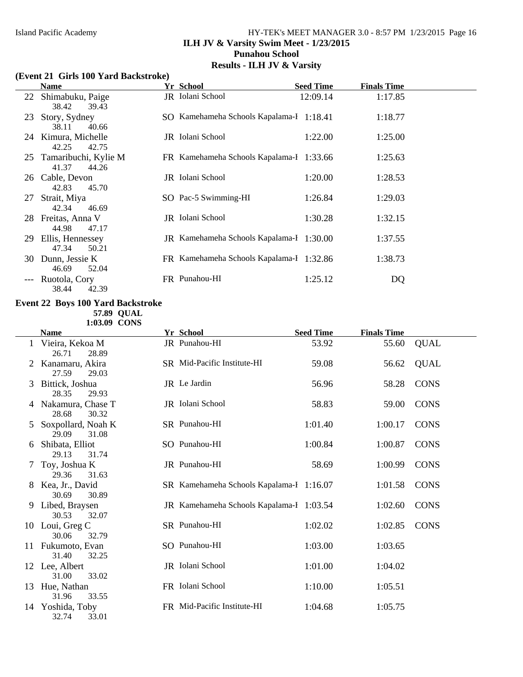## Island Pacific Academy HY-TEK's MEET MANAGER 3.0 - 8:57 PM 1/23/2015 Page 16 **ILH JV & Varsity Swim Meet - 1/23/2015 Punahou School Results - ILH JV & Varsity**

#### **(Event 21 Girls 100 Yard Backstroke)**

|    | <b>Name</b>                               | <u>Yr School</u>                         | <b>Seed Time</b> | <b>Finals Time</b> |  |
|----|-------------------------------------------|------------------------------------------|------------------|--------------------|--|
|    | 22 Shimabuku, Paige<br>38.42<br>39.43     | JR Iolani School                         | 12:09.14         | 1:17.85            |  |
|    | 23 Story, Sydney<br>38.11<br>40.66        | SO Kamehameha Schools Kapalama-I 1:18.41 |                  | 1:18.77            |  |
|    | 24 Kimura, Michelle<br>42.25<br>42.75     | JR Iolani School                         | 1:22.00          | 1:25.00            |  |
|    | 25 Tamaribuchi, Kylie M<br>41.37<br>44.26 | FR Kamehameha Schools Kapalama-I 1:33.66 |                  | 1:25.63            |  |
|    | 26 Cable, Devon<br>42.83<br>45.70         | JR Iolani School                         | 1:20.00          | 1:28.53            |  |
| 27 | Strait, Miya<br>42.34<br>46.69            | SO Pac-5 Swimming-HI                     | 1:26.84          | 1:29.03            |  |
|    | 28 Freitas, Anna V<br>44.98<br>47.17      | JR Iolani School                         | 1:30.28          | 1:32.15            |  |
| 29 | Ellis, Hennessey<br>47.34<br>50.21        | JR Kamehameha Schools Kapalama-I 1:30.00 |                  | 1:37.55            |  |
| 30 | Dunn, Jessie K<br>46.69<br>52.04          | FR Kamehameha Schools Kapalama-I 1:32.86 |                  | 1:38.73            |  |
|    | Ruotola, Cory<br>38.44<br>42.39           | FR Punahou-HI                            | 1:25.12          | DQ                 |  |

# **Event 22 Boys 100 Yard Backstroke**

**57.89 QUAL 1:03.09 CONS**

|    | <b>Name</b>                          | Yr School                                | <b>Seed Time</b> | <b>Finals Time</b> |             |
|----|--------------------------------------|------------------------------------------|------------------|--------------------|-------------|
|    | Vieira, Kekoa M<br>28.89<br>26.71    | JR Punahou-HI                            | 53.92            | 55.60              | <b>QUAL</b> |
| 2  | Kanamaru, Akira<br>27.59<br>29.03    | SR Mid-Pacific Institute-HI              | 59.08            | 56.62              | <b>QUAL</b> |
| 3  | Bittick, Joshua<br>28.35<br>29.93    | JR Le Jardin                             | 56.96            | 58.28              | <b>CONS</b> |
| 4  | Nakamura, Chase T<br>28.68<br>30.32  | JR Iolani School                         | 58.83            | 59.00              | <b>CONS</b> |
| 5  | Soxpollard, Noah K<br>29.09<br>31.08 | SR Punahou-HI                            | 1:01.40          | 1:00.17            | <b>CONS</b> |
| 6  | Shibata, Elliot<br>29.13<br>31.74    | SO Punahou-HI                            | 1:00.84          | 1:00.87            | <b>CONS</b> |
|    | Toy, Joshua K<br>29.36<br>31.63      | JR Punahou-HI                            | 58.69            | 1:00.99            | <b>CONS</b> |
| 8  | Kea, Jr., David<br>30.69<br>30.89    | SR Kamehameha Schools Kapalama-I 1:16.07 |                  | 1:01.58            | <b>CONS</b> |
| 9  | Libed, Braysen<br>30.53<br>32.07     | JR Kamehameha Schools Kapalama-I 1:03.54 |                  | 1:02.60            | <b>CONS</b> |
|    | 10 Loui, Greg C<br>30.06<br>32.79    | SR Punahou-HI                            | 1:02.02          | 1:02.85            | <b>CONS</b> |
| 11 | Fukumoto, Evan<br>31.40<br>32.25     | SO Punahou-HI                            | 1:03.00          | 1:03.65            |             |
| 12 | Lee, Albert<br>31.00<br>33.02        | JR Iolani School                         | 1:01.00          | 1:04.02            |             |
| 13 | Hue, Nathan<br>31.96<br>33.55        | FR Iolani School                         | 1:10.00          | 1:05.51            |             |
| 14 | Yoshida, Toby<br>32.74<br>33.01      | FR Mid-Pacific Institute-HI              | 1:04.68          | 1:05.75            |             |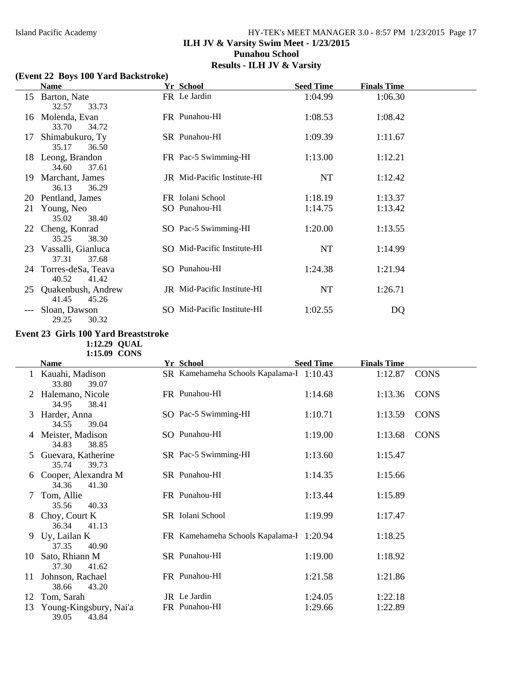## Island Pacific Academy HY-TEK's MEET MANAGER 3.0 - 8:57 PM 1/23/2015 Page 17 **ILH JV & Varsity Swim Meet - 1/23/2015 Punahou School Results - ILH JV & Varsity**

#### **(Event 22 Boys 100 Yard Backstroke)**

|    | <b>Name</b>                             | Yr School                   | <b>Seed Time</b> | <b>Finals Time</b> |  |
|----|-----------------------------------------|-----------------------------|------------------|--------------------|--|
| 15 | Barton, Nate<br>32.57<br>33.73          | FR Le Jardin                | 1:04.99          | 1:06.30            |  |
|    | 16 Molenda, Evan<br>33.70<br>34.72      | FR Punahou-HI               | 1:08.53          | 1:08.42            |  |
| 17 | Shimabukuro, Ty<br>35.17<br>36.50       | SR Punahou-HI               | 1:09.39          | 1:11.67            |  |
|    | 18 Leong, Brandon<br>37.61<br>34.60     | FR Pac-5 Swimming-HI        | 1:13.00          | 1:12.21            |  |
|    | 19 Marchant, James<br>36.13<br>36.29    | JR Mid-Pacific Institute-HI | NT               | 1:12.42            |  |
|    | 20 Pentland, James                      | FR Iolani School            | 1:18.19          | 1:13.37            |  |
|    | 21 Young, Neo<br>35.02<br>38.40         | SO Punahou-HI               | 1:14.75          | 1:13.42            |  |
|    | 22 Cheng, Konrad<br>38.30<br>35.25      | SO Pac-5 Swimming-HI        | 1:20.00          | 1:13.55            |  |
|    | 23 Vassalli, Gianluca<br>37.31<br>37.68 | SO Mid-Pacific Institute-HI | NT               | 1:14.99            |  |
|    | 24 Torres-deSa, Teava<br>40.52<br>41.42 | SO Punahou-HI               | 1:24.38          | 1:21.94            |  |
|    | 25 Quakenbush, Andrew<br>41.45<br>45.26 | JR Mid-Pacific Institute-HI | NT               | 1:26.71            |  |
|    | Sloan, Dawson<br>30.32<br>29.25         | SO Mid-Pacific Institute-HI | 1:02.55          | DQ                 |  |

#### **Event 23 Girls 100 Yard Breaststroke**

**1:12.29 QUAL**

|    | 1:15.09 CONS                             |                                          |                  |                    |             |
|----|------------------------------------------|------------------------------------------|------------------|--------------------|-------------|
|    | <b>Name</b>                              | Yr School                                | <b>Seed Time</b> | <b>Finals Time</b> |             |
|    | 1 Kauahi, Madison<br>33.80<br>39.07      | SR Kamehameha Schools Kapalama-I 1:10.43 |                  | 1:12.87            | <b>CONS</b> |
|    | Halemano, Nicole<br>34.95<br>38.41       | FR Punahou-HI                            | 1:14.68          | 1:13.36            | <b>CONS</b> |
| 3  | Harder, Anna<br>34.55<br>39.04           | SO Pac-5 Swimming-HI                     | 1:10.71          | 1:13.59            | <b>CONS</b> |
|    | 4 Meister, Madison<br>34.83<br>38.85     | SO Punahou-HI                            | 1:19.00          | 1:13.68            | <b>CONS</b> |
| 5  | Guevara, Katherine<br>35.74<br>39.73     | SR Pac-5 Swimming-HI                     | 1:13.60          | 1:15.47            |             |
| 6  | Cooper, Alexandra M<br>34.36<br>41.30    | SR Punahou-HI                            | 1:14.35          | 1:15.66            |             |
|    | Tom, Allie<br>35.56<br>40.33             | FR Punahou-HI                            | 1:13.44          | 1:15.89            |             |
| 8  | Choy, Court K<br>36.34<br>41.13          | SR Iolani School                         | 1:19.99          | 1:17.47            |             |
| 9. | Uy, Lailan K<br>37.35<br>40.90           | FR Kamehameha Schools Kapalama-I 1:20.94 |                  | 1:18.25            |             |
| 10 | Sato, Rhiann M<br>37.30<br>41.62         | SR Punahou-HI                            | 1:19.00          | 1:18.92            |             |
| 11 | Johnson, Rachael<br>38.66<br>43.20       | FR Punahou-HI                            | 1:21.58          | 1:21.86            |             |
| 12 | Tom, Sarah                               | JR Le Jardin                             | 1:24.05          | 1:22.18            |             |
| 13 | Young-Kingsbury, Nai'a<br>39.05<br>43.84 | FR Punahou-HI                            | 1:29.66          | 1:22.89            |             |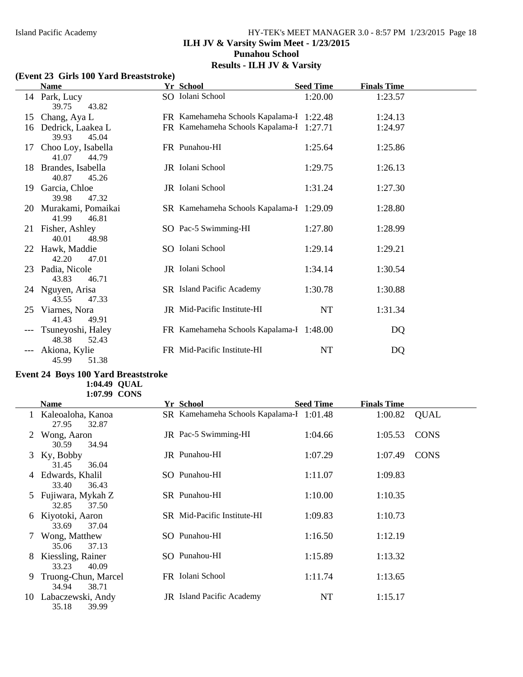## Island Pacific Academy HY-TEK's MEET MANAGER 3.0 - 8:57 PM 1/23/2015 Page 18 **ILH JV & Varsity Swim Meet - 1/23/2015 Punahou School Results - ILH JV & Varsity**

#### **(Event 23 Girls 100 Yard Breaststroke)**

|    | <b>Name</b>                             | Yr School                                | <b>Seed Time</b> | <b>Finals Time</b> |  |
|----|-----------------------------------------|------------------------------------------|------------------|--------------------|--|
|    | 14 Park, Lucy<br>39.75<br>43.82         | SO Iolani School                         | 1:20.00          | 1:23.57            |  |
| 15 | Chang, Aya L                            | FR Kamehameha Schools Kapalama-I 1:22.48 |                  | 1:24.13            |  |
| 16 | Dedrick, Laakea L<br>39.93<br>45.04     | FR Kamehameha Schools Kapalama-I 1:27.71 |                  | 1:24.97            |  |
| 17 | Choo Loy, Isabella<br>41.07<br>44.79    | FR Punahou-HI                            | 1:25.64          | 1:25.86            |  |
|    | 18 Brandes, Isabella<br>40.87<br>45.26  | JR Iolani School                         | 1:29.75          | 1:26.13            |  |
|    | 19 Garcia, Chloe<br>39.98<br>47.32      | JR Iolani School                         | 1:31.24          | 1:27.30            |  |
|    | 20 Murakami, Pomaikai<br>41.99<br>46.81 | SR Kamehameha Schools Kapalama-I 1:29.09 |                  | 1:28.80            |  |
|    | 21 Fisher, Ashley<br>40.01<br>48.98     | SO Pac-5 Swimming-HI                     | 1:27.80          | 1:28.99            |  |
|    | 22 Hawk, Maddie<br>42.20<br>47.01       | SO Iolani School                         | 1:29.14          | 1:29.21            |  |
|    | 23 Padia, Nicole<br>43.83<br>46.71      | JR Iolani School                         | 1:34.14          | 1:30.54            |  |
|    | 24 Nguyen, Arisa<br>43.55<br>47.33      | SR Island Pacific Academy                | 1:30.78          | 1:30.88            |  |
| 25 | Viarnes, Nora<br>41.43<br>49.91         | <b>JR</b> Mid-Pacific Institute-HI       | NT               | 1:31.34            |  |
|    | Tsuneyoshi, Haley<br>48.38<br>52.43     | FR Kamehameha Schools Kapalama-I 1:48.00 |                  | DQ                 |  |
|    | Akiona, Kylie<br>45.99<br>51.38         | FR Mid-Pacific Institute-HI              | NT               | DQ                 |  |

#### **Event 24 Boys 100 Yard Breaststroke**

**1:04.49 QUAL**

|    | 1:07.99 CONS                          |                                          |                  |                    |             |
|----|---------------------------------------|------------------------------------------|------------------|--------------------|-------------|
|    | Name                                  | Yr School                                | <b>Seed Time</b> | <b>Finals Time</b> |             |
|    | Kaleoaloha, Kanoa<br>27.95<br>32.87   | SR Kamehameha Schools Kapalama-I 1:01.48 |                  | 1:00.82            | QUAL        |
|    | Wong, Aaron<br>34.94<br>30.59         | JR Pac-5 Swimming-HI                     | 1:04.66          | 1:05.53            | <b>CONS</b> |
| 3  | Ky, Bobby<br>31.45<br>36.04           | JR Punahou-HI                            | 1:07.29          | 1:07.49            | <b>CONS</b> |
| 4  | Edwards, Khalil<br>33.40<br>36.43     | SO Punahou-HI                            | 1:11.07          | 1:09.83            |             |
| 5  | Fujiwara, Mykah Z<br>37.50<br>32.85   | SR Punahou-HI                            | 1:10.00          | 1:10.35            |             |
| 6  | Kiyotoki, Aaron<br>33.69<br>37.04     | SR Mid-Pacific Institute-HI              | 1:09.83          | 1:10.73            |             |
|    | 7 Wong, Matthew<br>37.13<br>35.06     | SO Punahou-HI                            | 1:16.50          | 1:12.19            |             |
| 8  | Kiessling, Rainer<br>33.23<br>40.09   | SO Punahou-HI                            | 1:15.89          | 1:13.32            |             |
| 9  | Truong-Chun, Marcel<br>34.94<br>38.71 | FR Iolani School                         | 1:11.74          | 1:13.65            |             |
| 10 | Labaczewski, Andy<br>35.18<br>39.99   | JR Island Pacific Academy                | NT               | 1:15.17            |             |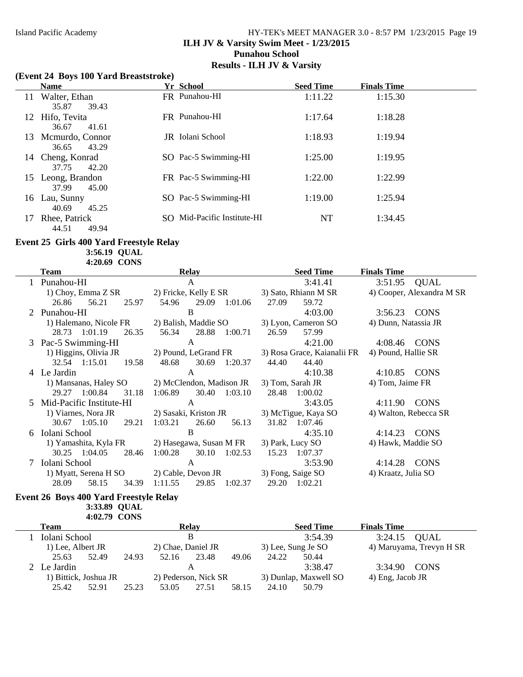## Island Pacific Academy HY-TEK's MEET MANAGER 3.0 - 8:57 PM 1/23/2015 Page 19 **ILH JV & Varsity Swim Meet - 1/23/2015 Punahou School Results - ILH JV & Varsity**

#### **(Event 24 Boys 100 Yard Breaststroke)**

|    | <b>Name</b>                         | Yr School                   | <b>Seed Time</b> | <b>Finals Time</b> |
|----|-------------------------------------|-----------------------------|------------------|--------------------|
| 11 | Walter, Ethan<br>35.87<br>39.43     | FR Punahou-HI               | 1:11.22          | 1:15.30            |
|    | 12 Hifo, Tevita<br>41.61<br>36.67   | FR Punahou-HI               | 1:17.64          | 1:18.28            |
| 13 | Mcmurdo, Connor<br>43.29<br>36.65   | <b>JR</b> Iolani School     | 1:18.93          | 1:19.94            |
| 14 | Cheng, Konrad<br>42.20<br>37.75     | SO Pac-5 Swimming-HI        | 1:25.00          | 1:19.95            |
|    | 15 Leong, Brandon<br>45.00<br>37.99 | FR Pac-5 Swimming-HI        | 1:22.00          | 1:22.99            |
| 16 | Lau, Sunny<br>40.69<br>45.25        | SO Pac-5 Swimming-HI        | 1:19.00          | 1:25.94            |
| 17 | Rhee, Patrick<br>44.51<br>49.94     | SO Mid-Pacific Institute-HI | NT               | 1:34.45            |

#### **Event 25 Girls 400 Yard Freestyle Relay 3:56.19 QUAL**

**4:20.69 CONS**

|   | <b>Team</b>              |                  | <b>Relay</b>             | <b>Seed Time</b>            | <b>Finals Time</b>        |
|---|--------------------------|------------------|--------------------------|-----------------------------|---------------------------|
|   | 1 Punahou-HI             |                  | A                        | 3:41.41                     | 3:51.95 QUAL              |
|   | 1) Choy, Emma Z SR       |                  | 2) Fricke, Kelly E SR    | 3) Sato, Rhiann M SR        | 4) Cooper, Alexandra M SR |
|   | 56.21<br>26.86           | 25.97<br>54.96   | 29.09<br>1:01.06         | 27.09<br>59.72              |                           |
|   | Punahou-HI               |                  | B                        | 4:03.00                     | 3:56.23 CONS              |
|   | 1) Halemano, Nicole FR   |                  | 2) Balish, Maddie SO     | 3) Lyon, Cameron SO         | 4) Dunn, Natassia JR      |
|   | 28.73 1:01.19            | 26.35<br>56.34   | 28.88<br>1:00.71         | 57.99<br>26.59              |                           |
|   | 3 Pac-5 Swimming-HI      |                  | A                        | 4:21.00                     | 4:08.46 CONS              |
|   | 1) Higgins, Olivia JR    |                  | 2) Pound, LeGrand FR     | 3) Rosa Grace, Kaianalii FR | 4) Pound, Hallie SR       |
|   | 32.54 1:15.01            | 19.58<br>48.68   | 30.69<br>1:20.37         | 44.40<br>44.40              |                           |
| 4 | Le Jardin                |                  | A                        | 4:10.38                     | 4:10.85 CONS              |
|   | 1) Mansanas, Haley SO    |                  | 2) McClendon, Madison JR | 3) Tom, Sarah JR            | 4) Tom, Jaime FR          |
|   | 1:00.84<br>29.27         | 31.18<br>1:06.89 | 30.40 1:03.10            | 28.48<br>1:00.02            |                           |
| 5 | Mid-Pacific Institute-HI |                  | A                        | 3:43.05                     | <b>CONS</b><br>4:11.90    |
|   | 1) Viarnes, Nora JR      |                  | 2) Sasaki, Kriston JR    | 3) McTigue, Kaya SO         | 4) Walton, Rebecca SR     |
|   | 1:05.10<br>30.67         | 1:03.21<br>29.21 | 26.60<br>56.13           | 1:07.46<br>31.82            |                           |
| 6 | Iolani School            |                  | B                        | 4:35.10                     | <b>CONS</b><br>4:14.23    |
|   | 1) Yamashita, Kyla FR    |                  | 2) Hasegawa, Susan M FR  | 3) Park, Lucy SO            | 4) Hawk, Maddie SO        |
|   | 30.25 1:04.05            | 28.46<br>1:00.28 | 1:02.53<br>30.10         | 15.23<br>1:07.37            |                           |
|   | Iolani School            |                  | A                        | 3:53.90                     | <b>CONS</b><br>4:14.28    |
|   | 1) Myatt, Serena H SO    |                  | 2) Cable, Devon JR       | 3) Fong, Saige SO           | 4) Kraatz, Julia SO       |
|   | 58.15<br>28.09           | 1:11.55<br>34.39 | 29.85<br>1:02.37         | 29.20<br>1:02.21            |                           |

#### **Event 26 Boys 400 Yard Freestyle Relay 3:33.89 QUAL**

**4:02.79 CONS**

|                       | Team             |       |                      |       | Relay |                       |         | <b>Seed Time</b>         | <b>Finals Time</b> |
|-----------------------|------------------|-------|----------------------|-------|-------|-----------------------|---------|--------------------------|--------------------|
|                       | Iolani School    |       |                      | B     |       |                       |         | 3:54.39                  | 3:24.15 QUAL       |
| 1) Lee, Albert JR     |                  |       | 2) Chae, Daniel JR   |       |       | 3) Lee, Sung Je SO    |         | 4) Maruyama, Trevyn H SR |                    |
|                       | 25.63            | 52.49 | 24.93                | 52.16 | 23.48 | 49.06                 | 24.22   | 50.44                    |                    |
|                       | 2 Le Jardin<br>Α |       |                      |       |       |                       | 3:38.47 | 3:34.90 CONS             |                    |
| 1) Bittick, Joshua JR |                  |       | 2) Pederson, Nick SR |       |       | 3) Dunlap, Maxwell SO |         | 4) Eng, Jacob JR         |                    |
|                       | 25.42            | 52.91 | 25.23                | 53.05 | 27.51 | 58.15                 | 24.10   | 50.79                    |                    |